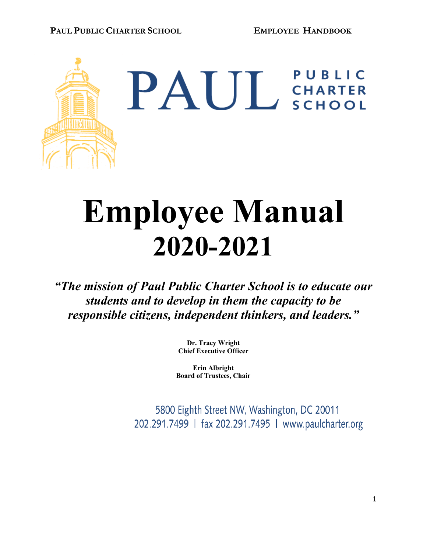

PAUL CHARTER

# **Employee Manual 2020-2021**

*"The mission of Paul Public Charter School is to educate our students and to develop in them the capacity to be responsible citizens, independent thinkers, and leaders."*

> **Dr. Tracy Wright Chief Executive Officer**

**Erin Albright Board of Trustees, Chair**

5800 Eighth Street NW, Washington, DC 20011 202.291.7499 | fax 202.291.7495 | www.paulcharter.org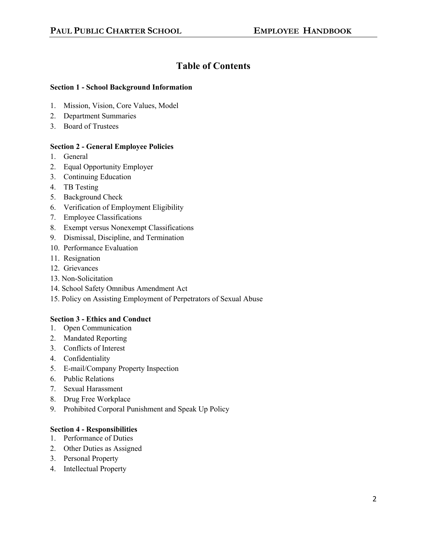# **Table of Contents**

# **Section 1 - School Background Information**

- 1. Mission, Vision, Core Values, Model
- 2. Department Summaries
- 3. Board of Trustees

# **Section 2 - General Employee Policies**

- 1. General
- 2. Equal Opportunity Employer
- 3. Continuing Education
- 4. TB Testing
- 5. Background Check
- 6. Verification of Employment Eligibility
- 7. Employee Classifications
- 8. Exempt versus Nonexempt Classifications
- 9. Dismissal, Discipline, and Termination
- 10. Performance Evaluation
- 11. Resignation
- 12. Grievances
- 13. Non-Solicitation
- 14. School Safety Omnibus Amendment Act
- 15. Policy on Assisting Employment of Perpetrators of Sexual Abuse

# **Section 3 - Ethics and Conduct**

- 1. Open Communication
- 2. Mandated Reporting
- 3. Conflicts of Interest
- 4. Confidentiality
- 5. E-mail/Company Property Inspection
- 6. Public Relations
- 7. Sexual Harassment
- 8. Drug Free Workplace
- 9. Prohibited Corporal Punishment and Speak Up Policy

# **Section 4 - Responsibilities**

- 1. Performance of Duties
- 2. Other Duties as Assigned
- 3. Personal Property
- 4. Intellectual Property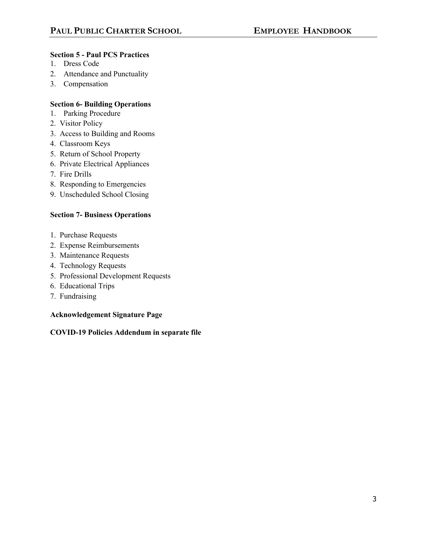# **Section 5 - Paul PCS Practices**

- 1. Dress Code
- 2. Attendance and Punctuality
- 3. Compensation

# **Section 6- Building Operations**

- 1. Parking Procedure
- 2. Visitor Policy
- 3. Access to Building and Rooms
- 4. Classroom Keys
- 5. Return of School Property
- 6. Private Electrical Appliances
- 7. Fire Drills
- 8. Responding to Emergencies
- 9. Unscheduled School Closing

# **Section 7- Business Operations**

- 1. Purchase Requests
- 2. Expense Reimbursements
- 3. Maintenance Requests
- 4. Technology Requests
- 5. Professional Development Requests
- 6. Educational Trips
- 7. Fundraising

# **Acknowledgement Signature Page**

# **COVID-19 Policies Addendum in separate file**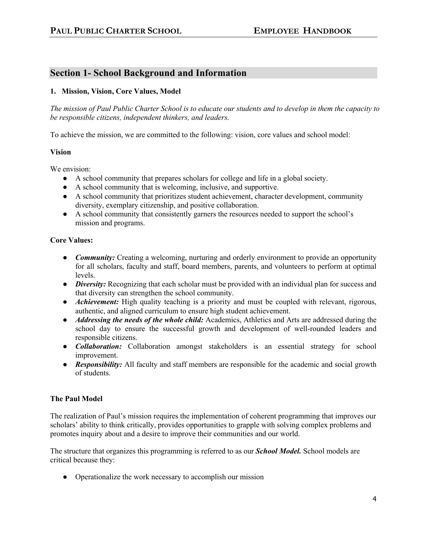# **Section 1- School Background and Information**

# **1. Mission, Vision, Core Values, Model**

*The mission of Paul Public Charter School is to educate our students and to develop in them the capacity to be responsible citizens, independent thinkers, and leaders.*

To achieve the mission, we are committed to the following: vision, core values and school model:

# **Vision**

We envision:

- A school community that prepares scholars for college and life in a global society.
- A school community that is welcoming, inclusive, and supportive.
- A school community that prioritizes student achievement, character development, community diversity, exemplary citizenship, and positive collaboration.
- A school community that consistently garners the resources needed to support the school's mission and programs.

# **Core Values:**

- *Community:* Creating a welcoming, nurturing and orderly environment to provide an opportunity for all scholars, faculty and staff, board members, parents, and volunteers to perform at optimal levels.
- *Diversity:* Recognizing that each scholar must be provided with an individual plan for success and that diversity can strengthen the school community.
- *Achievement:* High quality teaching is a priority and must be coupled with relevant, rigorous, authentic, and aligned curriculum to ensure high student achievement.
- *Addressing the needs of the whole child:* Academics, Athletics and Arts are addressed during the school day to ensure the successful growth and development of well-rounded leaders and responsible citizens.
- *Collaboration:* Collaboration amongst stakeholders is an essential strategy for school improvement.
- *Responsibility:* All faculty and staff members are responsible for the academic and social growth of students.

# **The Paul Model**

The realization of Paul's mission requires the implementation of coherent programming that improves our scholars' ability to think critically, provides opportunities to grapple with solving complex problems and promotes inquiry about and a desire to improve their communities and our world.

The structure that organizes this programming is referred to as our *School Model.* School models are critical because they:

• Operationalize the work necessary to accomplish our mission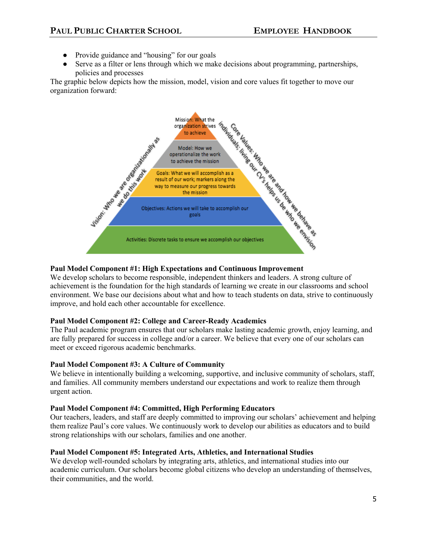- Provide guidance and "housing" for our goals
- Serve as a filter or lens through which we make decisions about programming, partnerships, policies and processes

organization forward:



# **Paul Model Component #1: High Expectations and Continuous Improvement**

We develop scholars to become responsible, independent thinkers and leaders. A strong culture of achievement is the foundation for the high standards of learning we create in our classrooms and school environment. We base our decisions about what and how to teach students on data, strive to continuously improve, and hold each other accountable for excellence.

# **Paul Model Component #2: College and Career-Ready Academics**

The Paul academic program ensures that our scholars make lasting academic growth, enjoy learning, and are fully prepared for success in college and/or a career. We believe that every one of our scholars can meet or exceed rigorous academic benchmarks.

# **Paul Model Component #3: A Culture of Community**

We believe in intentionally building a welcoming, supportive, and inclusive community of scholars, staff, and families. All community members understand our expectations and work to realize them through urgent action.

# **Paul Model Component #4: Committed, High Performing Educators**

Our teachers, leaders, and staff are deeply committed to improving our scholars' achievement and helping them realize Paul's core values. We continuously work to develop our abilities as educators and to build strong relationships with our scholars, families and one another.

# **Paul Model Component #5: Integrated Arts, Athletics, and International Studies**

We develop well-rounded scholars by integrating arts, athletics, and international studies into our academic curriculum. Our scholars become global citizens who develop an understanding of themselves, their communities, and the world.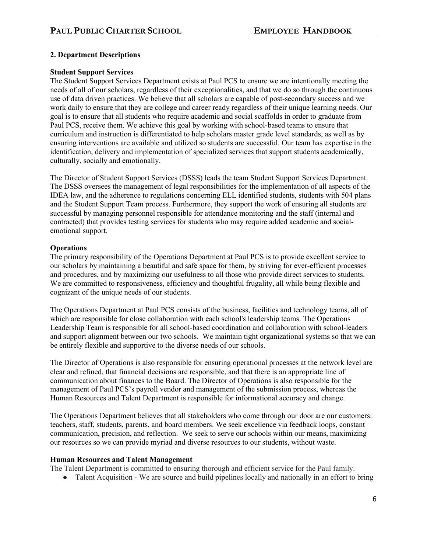# **2. Department Descriptions**

# **Student Support Services**

The Student Support Services Department exists at Paul PCS to ensure we are intentionally meeting the needs of all of our scholars, regardless of their exceptionalities, and that we do so through the continuous use of data driven practices. We believe that all scholars are capable of post-secondary success and we work daily to ensure that they are college and career ready regardless of their unique learning needs. Our goal is to ensure that all students who require academic and social scaffolds in order to graduate from Paul PCS, receive them. We achieve this goal by working with school-based teams to ensure that curriculum and instruction is differentiated to help scholars master grade level standards, as well as by ensuring interventions are available and utilized so students are successful. Our team has expertise in the identification, delivery and implementation of specialized services that support students academically, culturally, socially and emotionally.

The Director of Student Support Services (DSSS) leads the team Student Support Services Department. The DSSS oversees the management of legal responsibilities for the implementation of all aspects of the IDEA law, and the adherence to regulations concerning ELL identified students, students with 504 plans and the Student Support Team process. Furthermore, they support the work of ensuring all students are successful by managing personnel responsible for attendance monitoring and the staff (internal and contracted) that provides testing services for students who may require added academic and socialemotional support.

# **Operations**

The primary responsibility of the Operations Department at Paul PCS is to provide excellent service to our scholars by maintaining a beautiful and safe space for them, by striving for ever-efficient processes and procedures, and by maximizing our usefulness to all those who provide direct services to students. We are committed to responsiveness, efficiency and thoughtful frugality, all while being flexible and cognizant of the unique needs of our students.

The Operations Department at Paul PCS consists of the business, facilities and technology teams, all of which are responsible for close collaboration with each school's leadership teams. The Operations Leadership Team is responsible for all school-based coordination and collaboration with school-leaders and support alignment between our two schools. We maintain tight organizational systems so that we can be entirely flexible and supportive to the diverse needs of our schools.

The Director of Operations is also responsible for ensuring operational processes at the network level are clear and refined, that financial decisions are responsible, and that there is an appropriate line of communication about finances to the Board. The Director of Operations is also responsible for the management of Paul PCS's payroll vendor and management of the submission process, whereas the Human Resources and Talent Department is responsible for informational accuracy and change.

The Operations Department believes that all stakeholders who come through our door are our customers: teachers, staff, students, parents, and board members. We seek excellence via feedback loops, constant communication, precision, and reflection. We seek to serve our schools within our means, maximizing our resources so we can provide myriad and diverse resources to our students, without waste.

# **Human Resources and Talent Management**

The Talent Department is committed to ensuring thorough and efficient service for the Paul family.

• Talent Acquisition - We are source and build pipelines locally and nationally in an effort to bring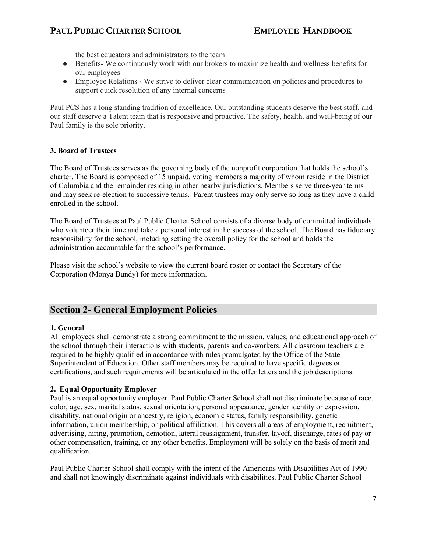the best educators and administrators to the team

- Benefits- We continuously work with our brokers to maximize health and wellness benefits for our employees
- Employee Relations We strive to deliver clear communication on policies and procedures to support quick resolution of any internal concerns

Paul PCS has a long standing tradition of excellence. Our outstanding students deserve the best staff, and our staff deserve a Talent team that is responsive and proactive. The safety, health, and well-being of our Paul family is the sole priority.

# **3. Board of Trustees**

The Board of Trustees serves as the governing body of the nonprofit corporation that holds the school's charter. The Board is composed of 15 unpaid, voting members a majority of whom reside in the District of Columbia and the remainder residing in other nearby jurisdictions. Members serve three-year terms and may seek re-election to successive terms. Parent trustees may only serve so long as they have a child enrolled in the school.

The Board of Trustees at Paul Public Charter School consists of a diverse body of committed individuals who volunteer their time and take a personal interest in the success of the school. The Board has fiduciary responsibility for the school, including setting the overall policy for the school and holds the administration accountable for the school's performance.

Please visit the school's website to view the current board roster or contact the Secretary of the Corporation (Monya Bundy) for more information.

# **Section 2- General Employment Policies**

# **1. General**

All employees shall demonstrate a strong commitment to the mission, values, and educational approach of the school through their interactions with students, parents and co-workers. All classroom teachers are required to be highly qualified in accordance with rules promulgated by the Office of the State Superintendent of Education. Other staff members may be required to have specific degrees or certifications, and such requirements will be articulated in the offer letters and the job descriptions.

# **2. Equal Opportunity Employer**

Paul is an equal opportunity employer. Paul Public Charter School shall not discriminate because of race, color, age, sex, marital status, sexual orientation, personal appearance, gender identity or expression, disability, national origin or ancestry, religion, economic status, family responsibility, genetic information, union membership, or political affiliation. This covers all areas of employment, recruitment, advertising, hiring, promotion, demotion, lateral reassignment, transfer, layoff, discharge, rates of pay or other compensation, training, or any other benefits. Employment will be solely on the basis of merit and qualification.

Paul Public Charter School shall comply with the intent of the Americans with Disabilities Act of 1990 and shall not knowingly discriminate against individuals with disabilities. Paul Public Charter School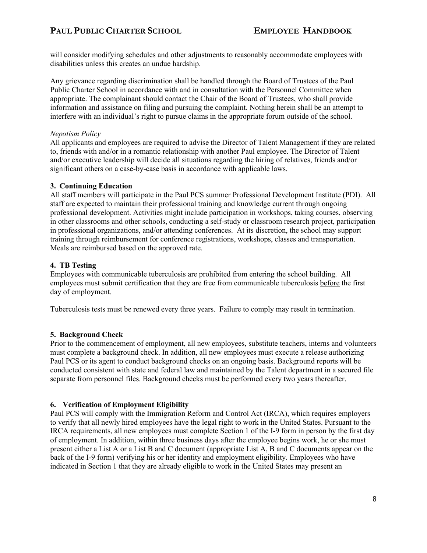will consider modifying schedules and other adjustments to reasonably accommodate employees with disabilities unless this creates an undue hardship.

Any grievance regarding discrimination shall be handled through the Board of Trustees of the Paul Public Charter School in accordance with and in consultation with the Personnel Committee when appropriate. The complainant should contact the Chair of the Board of Trustees, who shall provide information and assistance on filing and pursuing the complaint. Nothing herein shall be an attempt to interfere with an individual's right to pursue claims in the appropriate forum outside of the school.

# *Nepotism Policy*

All applicants and employees are required to advise the Director of Talent Management if they are related to, friends with and/or in a romantic relationship with another Paul employee. The Director of Talent and/or executive leadership will decide all situations regarding the hiring of relatives, friends and/or significant others on a case-by-case basis in accordance with applicable laws.

# **3. Continuing Education**

All staff members will participate in the Paul PCS summer Professional Development Institute (PDI). All staff are expected to maintain their professional training and knowledge current through ongoing professional development. Activities might include participation in workshops, taking courses, observing in other classrooms and other schools, conducting a self-study or classroom research project, participation in professional organizations, and/or attending conferences. At its discretion, the school may support training through reimbursement for conference registrations, workshops, classes and transportation. Meals are reimbursed based on the approved rate.

# **4. TB Testing**

Employees with communicable tuberculosis are prohibited from entering the school building. All employees must submit certification that they are free from communicable tuberculosis before the first day of employment.

Tuberculosis tests must be renewed every three years. Failure to comply may result in termination.

# **5. Background Check**

Prior to the commencement of employment, all new employees, substitute teachers, interns and volunteers must complete a background check. In addition, all new employees must execute a release authorizing Paul PCS or its agent to conduct background checks on an ongoing basis. Background reports will be conducted consistent with state and federal law and maintained by the Talent department in a secured file separate from personnel files. Background checks must be performed every two years thereafter.

# **6. Verification of Employment Eligibility**

Paul PCS will comply with the Immigration Reform and Control Act (IRCA), which requires employers to verify that all newly hired employees have the legal right to work in the United States. Pursuant to the IRCA requirements, all new employees must complete Section 1 of the I-9 form in person by the first day of employment. In addition, within three business days after the employee begins work, he or she must present either a List A or a List B and C document (appropriate List A, B and C documents appear on the back of the I-9 form) verifying his or her identity and employment eligibility. Employees who have indicated in Section 1 that they are already eligible to work in the United States may present an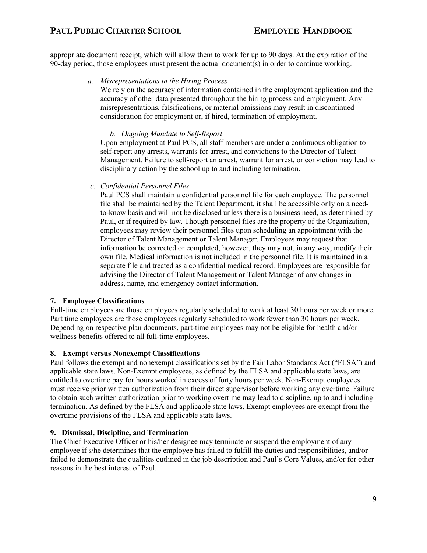appropriate document receipt, which will allow them to work for up to 90 days. At the expiration of the 90-day period, those employees must present the actual document(s) in order to continue working.

# *a. Misrepresentations in the Hiring Process*

We rely on the accuracy of information contained in the employment application and the accuracy of other data presented throughout the hiring process and employment. Any misrepresentations, falsifications, or material omissions may result in discontinued consideration for employment or, if hired, termination of employment.

# *b. Ongoing Mandate to Self-Report*

Upon employment at Paul PCS, all staff members are under a continuous obligation to self-report any arrests, warrants for arrest, and convictions to the Director of Talent Management. Failure to self-report an arrest, warrant for arrest, or conviction may lead to disciplinary action by the school up to and including termination.

*c. Confidential Personnel Files* 

Paul PCS shall maintain a confidential personnel file for each employee. The personnel file shall be maintained by the Talent Department, it shall be accessible only on a needto-know basis and will not be disclosed unless there is a business need, as determined by Paul, or if required by law. Though personnel files are the property of the Organization, employees may review their personnel files upon scheduling an appointment with the Director of Talent Management or Talent Manager. Employees may request that information be corrected or completed, however, they may not, in any way, modify their own file. Medical information is not included in the personnel file. It is maintained in a separate file and treated as a confidential medical record. Employees are responsible for advising the Director of Talent Management or Talent Manager of any changes in address, name, and emergency contact information.

# **7. Employee Classifications**

Full-time employees are those employees regularly scheduled to work at least 30 hours per week or more. Part time employees are those employees regularly scheduled to work fewer than 30 hours per week. Depending on respective plan documents, part-time employees may not be eligible for health and/or wellness benefits offered to all full-time employees.

# **8. Exempt versus Nonexempt Classifications**

Paul follows the exempt and nonexempt classifications set by the Fair Labor Standards Act ("FLSA") and applicable state laws. Non-Exempt employees, as defined by the FLSA and applicable state laws, are entitled to overtime pay for hours worked in excess of forty hours per week. Non-Exempt employees must receive prior written authorization from their direct supervisor before working any overtime. Failure to obtain such written authorization prior to working overtime may lead to discipline, up to and including termination. As defined by the FLSA and applicable state laws, Exempt employees are exempt from the overtime provisions of the FLSA and applicable state laws.

# **9. Dismissal, Discipline, and Termination**

The Chief Executive Officer or his/her designee may terminate or suspend the employment of any employee if s/he determines that the employee has failed to fulfill the duties and responsibilities, and/or failed to demonstrate the qualities outlined in the job description and Paul's Core Values, and/or for other reasons in the best interest of Paul.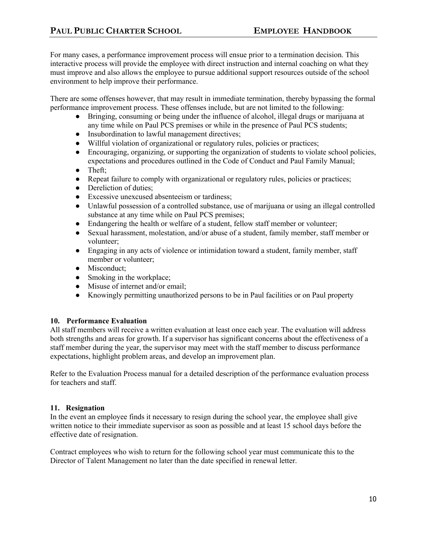For many cases, a performance improvement process will ensue prior to a termination decision. This interactive process will provide the employee with direct instruction and internal coaching on what they must improve and also allows the employee to pursue additional support resources outside of the school environment to help improve their performance.

There are some offenses however, that may result in immediate termination, thereby bypassing the formal performance improvement process. These offenses include, but are not limited to the following:

- Bringing, consuming or being under the influence of alcohol, illegal drugs or marijuana at any time while on Paul PCS premises or while in the presence of Paul PCS students;
- Insubordination to lawful management directives;
- Willful violation of organizational or regulatory rules, policies or practices;
- Encouraging, organizing, or supporting the organization of students to violate school policies, expectations and procedures outlined in the Code of Conduct and Paul Family Manual;
- Theft;
- Repeat failure to comply with organizational or regulatory rules, policies or practices;
- Dereliction of duties:
- Excessive unexcused absenteeism or tardiness;
- Unlawful possession of a controlled substance, use of marijuana or using an illegal controlled substance at any time while on Paul PCS premises;
- Endangering the health or welfare of a student, fellow staff member or volunteer;
- Sexual harassment, molestation, and/or abuse of a student, family member, staff member or volunteer;
- Engaging in any acts of violence or intimidation toward a student, family member, staff member or volunteer;
- Misconduct:
- Smoking in the workplace;
- Misuse of internet and/or email;
- Knowingly permitting unauthorized persons to be in Paul facilities or on Paul property

# **10. Performance Evaluation**

All staff members will receive a written evaluation at least once each year. The evaluation will address both strengths and areas for growth. If a supervisor has significant concerns about the effectiveness of a staff member during the year, the supervisor may meet with the staff member to discuss performance expectations, highlight problem areas, and develop an improvement plan.

Refer to the Evaluation Process manual for a detailed description of the performance evaluation process for teachers and staff.

# **11. Resignation**

In the event an employee finds it necessary to resign during the school year, the employee shall give written notice to their immediate supervisor as soon as possible and at least 15 school days before the effective date of resignation.

Contract employees who wish to return for the following school year must communicate this to the Director of Talent Management no later than the date specified in renewal letter.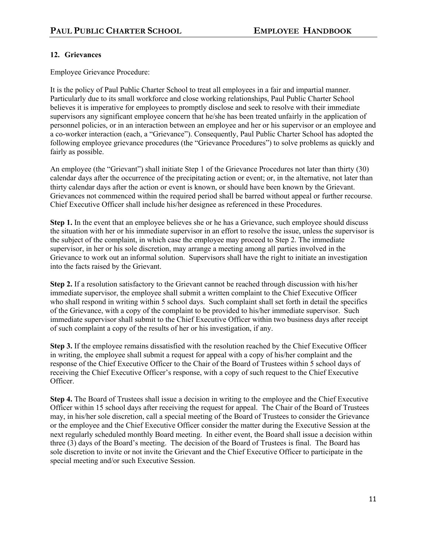# **12. Grievances**

Employee Grievance Procedure:

It is the policy of Paul Public Charter School to treat all employees in a fair and impartial manner. Particularly due to its small workforce and close working relationships, Paul Public Charter School believes it is imperative for employees to promptly disclose and seek to resolve with their immediate supervisors any significant employee concern that he/she has been treated unfairly in the application of personnel policies, or in an interaction between an employee and her or his supervisor or an employee and a co-worker interaction (each, a "Grievance"). Consequently, Paul Public Charter School has adopted the following employee grievance procedures (the "Grievance Procedures") to solve problems as quickly and fairly as possible.

An employee (the "Grievant") shall initiate Step 1 of the Grievance Procedures not later than thirty (30) calendar days after the occurrence of the precipitating action or event; or, in the alternative, not later than thirty calendar days after the action or event is known, or should have been known by the Grievant. Grievances not commenced within the required period shall be barred without appeal or further recourse. Chief Executive Officer shall include his/her designee as referenced in these Procedures.

**Step 1.** In the event that an employee believes she or he has a Grievance, such employee should discuss the situation with her or his immediate supervisor in an effort to resolve the issue, unless the supervisor is the subject of the complaint, in which case the employee may proceed to Step 2. The immediate supervisor, in her or his sole discretion, may arrange a meeting among all parties involved in the Grievance to work out an informal solution. Supervisors shall have the right to initiate an investigation into the facts raised by the Grievant.

**Step 2.** If a resolution satisfactory to the Grievant cannot be reached through discussion with his/her immediate supervisor, the employee shall submit a written complaint to the Chief Executive Officer who shall respond in writing within 5 school days. Such complaint shall set forth in detail the specifics of the Grievance, with a copy of the complaint to be provided to his/her immediate supervisor. Such immediate supervisor shall submit to the Chief Executive Officer within two business days after receipt of such complaint a copy of the results of her or his investigation, if any.

**Step 3.** If the employee remains dissatisfied with the resolution reached by the Chief Executive Officer in writing, the employee shall submit a request for appeal with a copy of his/her complaint and the response of the Chief Executive Officer to the Chair of the Board of Trustees within 5 school days of receiving the Chief Executive Officer's response, with a copy of such request to the Chief Executive Officer.

**Step 4.** The Board of Trustees shall issue a decision in writing to the employee and the Chief Executive Officer within 15 school days after receiving the request for appeal. The Chair of the Board of Trustees may, in his/her sole discretion, call a special meeting of the Board of Trustees to consider the Grievance or the employee and the Chief Executive Officer consider the matter during the Executive Session at the next regularly scheduled monthly Board meeting. In either event, the Board shall issue a decision within three (3) days of the Board's meeting. The decision of the Board of Trustees is final. The Board has sole discretion to invite or not invite the Grievant and the Chief Executive Officer to participate in the special meeting and/or such Executive Session.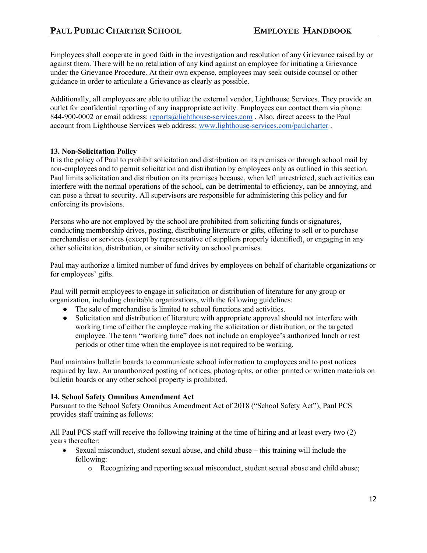Employees shall cooperate in good faith in the investigation and resolution of any Grievance raised by or against them. There will be no retaliation of any kind against an employee for initiating a Grievance under the Grievance Procedure. At their own expense, employees may seek outside counsel or other guidance in order to articulate a Grievance as clearly as possible.

Additionally, all employees are able to utilize the external vendor, Lighthouse Services. They provide an outlet for confidential reporting of any inappropriate activity. Employees can contact them via phone: 844-900-0002 or email address: reports@lighthouse-services.com . Also, direct access to the Paul account from Lighthouse Services web address: www.lighthouse-services.com/paulcharter .

# **13. Non-Solicitation Policy**

It is the policy of Paul to prohibit solicitation and distribution on its premises or through school mail by non-employees and to permit solicitation and distribution by employees only as outlined in this section. Paul limits solicitation and distribution on its premises because, when left unrestricted, such activities can interfere with the normal operations of the school, can be detrimental to efficiency, can be annoying, and can pose a threat to security. All supervisors are responsible for administering this policy and for enforcing its provisions.

Persons who are not employed by the school are prohibited from soliciting funds or signatures, conducting membership drives, posting, distributing literature or gifts, offering to sell or to purchase merchandise or services (except by representative of suppliers properly identified), or engaging in any other solicitation, distribution, or similar activity on school premises.

Paul may authorize a limited number of fund drives by employees on behalf of charitable organizations or for employees' gifts.

Paul will permit employees to engage in solicitation or distribution of literature for any group or organization, including charitable organizations, with the following guidelines:

- The sale of merchandise is limited to school functions and activities.
- Solicitation and distribution of literature with appropriate approval should not interfere with working time of either the employee making the solicitation or distribution, or the targeted employee. The term "working time" does not include an employee's authorized lunch or rest periods or other time when the employee is not required to be working.

Paul maintains bulletin boards to communicate school information to employees and to post notices required by law. An unauthorized posting of notices, photographs, or other printed or written materials on bulletin boards or any other school property is prohibited.

# **14. School Safety Omnibus Amendment Act**

Pursuant to the School Safety Omnibus Amendment Act of 2018 ("School Safety Act"), Paul PCS provides staff training as follows:

All Paul PCS staff will receive the following training at the time of hiring and at least every two (2) years thereafter:

- Sexual misconduct, student sexual abuse, and child abuse this training will include the following:
	- $\circ$  Recognizing and reporting sexual misconduct, student sexual abuse and child abuse;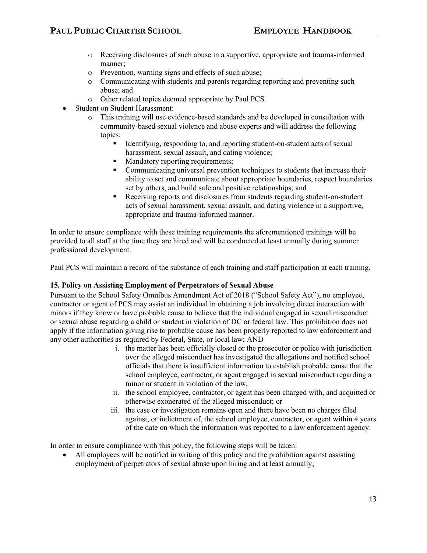- o Receiving disclosures of such abuse in a supportive, appropriate and trauma-informed manner;
- o Prevention, warning signs and effects of such abuse;
- o Communicating with students and parents regarding reporting and preventing such abuse; and
- o Other related topics deemed appropriate by Paul PCS.
- Student on Student Harassment:
	- o This training will use evidence-based standards and be developed in consultation with community-based sexual violence and abuse experts and will address the following topics:
		- Identifying, responding to, and reporting student-on-student acts of sexual harassment, sexual assault, and dating violence;
		- § Mandatory reporting requirements;
		- Communicating universal prevention techniques to students that increase their ability to set and communicate about appropriate boundaries, respect boundaries set by others, and build safe and positive relationships; and
		- Receiving reports and disclosures from students regarding student-on-student acts of sexual harassment, sexual assault, and dating violence in a supportive, appropriate and trauma-informed manner.

In order to ensure compliance with these training requirements the aforementioned trainings will be provided to all staff at the time they are hired and will be conducted at least annually during summer professional development.

Paul PCS will maintain a record of the substance of each training and staff participation at each training.

# **15. Policy on Assisting Employment of Perpetrators of Sexual Abuse**

Pursuant to the School Safety Omnibus Amendment Act of 2018 ("School Safety Act"), no employee, contractor or agent of PCS may assist an individual in obtaining a job involving direct interaction with minors if they know or have probable cause to believe that the individual engaged in sexual misconduct or sexual abuse regarding a child or student in violation of DC or federal law. This prohibition does not apply if the information giving rise to probable cause has been properly reported to law enforcement and any other authorities as required by Federal, State, or local law; AND

- i. the matter has been officially closed or the prosecutor or police with jurisdiction over the alleged misconduct has investigated the allegations and notified school officials that there is insufficient information to establish probable cause that the school employee, contractor, or agent engaged in sexual misconduct regarding a minor or student in violation of the law;
- ii. the school employee, contractor, or agent has been charged with, and acquitted or otherwise exonerated of the alleged misconduct; or
- iii. the case or investigation remains open and there have been no charges filed against, or indictment of, the school employee, contractor, or agent within 4 years of the date on which the information was reported to a law enforcement agency.

In order to ensure compliance with this policy, the following steps will be taken:

• All employees will be notified in writing of this policy and the prohibition against assisting employment of perpetrators of sexual abuse upon hiring and at least annually;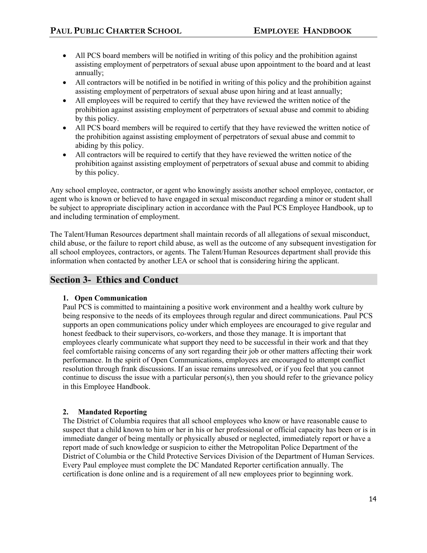- All PCS board members will be notified in writing of this policy and the prohibition against assisting employment of perpetrators of sexual abuse upon appointment to the board and at least annually;
- All contractors will be notified in be notified in writing of this policy and the prohibition against assisting employment of perpetrators of sexual abuse upon hiring and at least annually;
- All employees will be required to certify that they have reviewed the written notice of the prohibition against assisting employment of perpetrators of sexual abuse and commit to abiding by this policy.
- All PCS board members will be required to certify that they have reviewed the written notice of the prohibition against assisting employment of perpetrators of sexual abuse and commit to abiding by this policy.
- All contractors will be required to certify that they have reviewed the written notice of the prohibition against assisting employment of perpetrators of sexual abuse and commit to abiding by this policy.

Any school employee, contractor, or agent who knowingly assists another school employee, contactor, or agent who is known or believed to have engaged in sexual misconduct regarding a minor or student shall be subject to appropriate disciplinary action in accordance with the Paul PCS Employee Handbook, up to and including termination of employment.

The Talent/Human Resources department shall maintain records of all allegations of sexual misconduct, child abuse, or the failure to report child abuse, as well as the outcome of any subsequent investigation for all school employees, contractors, or agents. The Talent/Human Resources department shall provide this information when contacted by another LEA or school that is considering hiring the applicant.

# **Section 3- Ethics and Conduct**

# **1. Open Communication**

Paul PCS is committed to maintaining a positive work environment and a healthy work culture by being responsive to the needs of its employees through regular and direct communications. Paul PCS supports an open communications policy under which employees are encouraged to give regular and honest feedback to their supervisors, co-workers, and those they manage. It is important that employees clearly communicate what support they need to be successful in their work and that they feel comfortable raising concerns of any sort regarding their job or other matters affecting their work performance. In the spirit of Open Communications, employees are encouraged to attempt conflict resolution through frank discussions. If an issue remains unresolved, or if you feel that you cannot continue to discuss the issue with a particular person(s), then you should refer to the grievance policy in this Employee Handbook.

# **2. Mandated Reporting**

The District of Columbia requires that all school employees who know or have reasonable cause to suspect that a child known to him or her in his or her professional or official capacity has been or is in immediate danger of being mentally or physically abused or neglected, immediately report or have a report made of such knowledge or suspicion to either the Metropolitan Police Department of the District of Columbia or the Child Protective Services Division of the Department of Human Services. Every Paul employee must complete the DC Mandated Reporter certification annually. The certification is done online and is a requirement of all new employees prior to beginning work.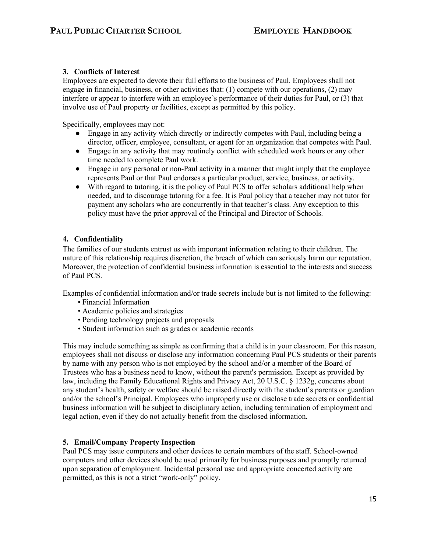# **3. Conflicts of Interest**

Employees are expected to devote their full efforts to the business of Paul. Employees shall not engage in financial, business, or other activities that: (1) compete with our operations, (2) may interfere or appear to interfere with an employee's performance of their duties for Paul, or (3) that involve use of Paul property or facilities, except as permitted by this policy.

Specifically, employees may not:

- Engage in any activity which directly or indirectly competes with Paul, including being a director, officer, employee, consultant, or agent for an organization that competes with Paul.
- Engage in any activity that may routinely conflict with scheduled work hours or any other time needed to complete Paul work.
- Engage in any personal or non-Paul activity in a manner that might imply that the employee represents Paul or that Paul endorses a particular product, service, business, or activity.
- With regard to tutoring, it is the policy of Paul PCS to offer scholars additional help when needed, and to discourage tutoring for a fee. It is Paul policy that a teacher may not tutor for payment any scholars who are concurrently in that teacher's class. Any exception to this policy must have the prior approval of the Principal and Director of Schools.

# **4. Confidentiality**

The families of our students entrust us with important information relating to their children. The nature of this relationship requires discretion, the breach of which can seriously harm our reputation. Moreover, the protection of confidential business information is essential to the interests and success of Paul PCS.

Examples of confidential information and/or trade secrets include but is not limited to the following:

- Financial Information
- Academic policies and strategies
- Pending technology projects and proposals
- Student information such as grades or academic records

This may include something as simple as confirming that a child is in your classroom. For this reason, employees shall not discuss or disclose any information concerning Paul PCS students or their parents by name with any person who is not employed by the school and/or a member of the Board of Trustees who has a business need to know, without the parent's permission. Except as provided by law, including the Family Educational Rights and Privacy Act, 20 U.S.C. § 1232g, concerns about any student's health, safety or welfare should be raised directly with the student's parents or guardian and/or the school's Principal. Employees who improperly use or disclose trade secrets or confidential business information will be subject to disciplinary action, including termination of employment and legal action, even if they do not actually benefit from the disclosed information.

# **5. Email/Company Property Inspection**

Paul PCS may issue computers and other devices to certain members of the staff. School-owned computers and other devices should be used primarily for business purposes and promptly returned upon separation of employment. Incidental personal use and appropriate concerted activity are permitted, as this is not a strict "work-only" policy.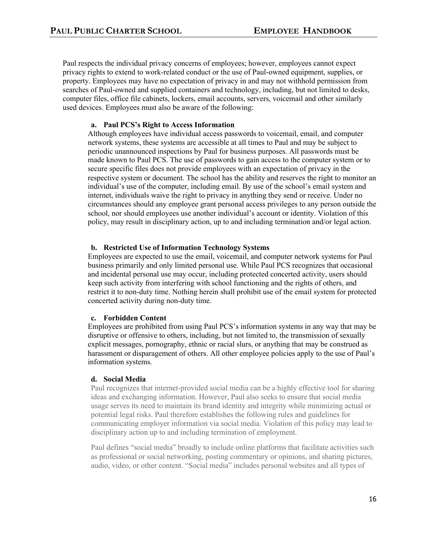Paul respects the individual privacy concerns of employees; however, employees cannot expect privacy rights to extend to work-related conduct or the use of Paul-owned equipment, supplies, or property. Employees may have no expectation of privacy in and may not withhold permission from searches of Paul-owned and supplied containers and technology, including, but not limited to desks, computer files, office file cabinets, lockers, email accounts, servers, voicemail and other similarly used devices. Employees must also be aware of the following:

# **a. Paul PCS's Right to Access Information**

Although employees have individual access passwords to voicemail, email, and computer network systems, these systems are accessible at all times to Paul and may be subject to periodic unannounced inspections by Paul for business purposes. All passwords must be made known to Paul PCS. The use of passwords to gain access to the computer system or to secure specific files does not provide employees with an expectation of privacy in the respective system or document. The school has the ability and reserves the right to monitor an individual's use of the computer, including email. By use of the school's email system and internet, individuals waive the right to privacy in anything they send or receive. Under no circumstances should any employee grant personal access privileges to any person outside the school, nor should employees use another individual's account or identity. Violation of this policy, may result in disciplinary action, up to and including termination and/or legal action.

# **b. Restricted Use of Information Technology Systems**

Employees are expected to use the email, voicemail, and computer network systems for Paul business primarily and only limited personal use. While Paul PCS recognizes that occasional and incidental personal use may occur, including protected concerted activity, users should keep such activity from interfering with school functioning and the rights of others, and restrict it to non-duty time. Nothing herein shall prohibit use of the email system for protected concerted activity during non-duty time.

# **c. Forbidden Content**

Employees are prohibited from using Paul PCS's information systems in any way that may be disruptive or offensive to others, including, but not limited to, the transmission of sexually explicit messages, pornography, ethnic or racial slurs, or anything that may be construed as harassment or disparagement of others. All other employee policies apply to the use of Paul's information systems.

# **d. Social Media**

Paul recognizes that internet-provided social media can be a highly effective tool for sharing ideas and exchanging information. However, Paul also seeks to ensure that social media usage serves its need to maintain its brand identity and integrity while minimizing actual or potential legal risks. Paul therefore establishes the following rules and guidelines for communicating employer information via social media. Violation of this policy may lead to disciplinary action up to and including termination of employment.

Paul defines "social media" broadly to include online platforms that facilitate activities such as professional or social networking, posting commentary or opinions, and sharing pictures, audio, video, or other content. "Social media" includes personal websites and all types of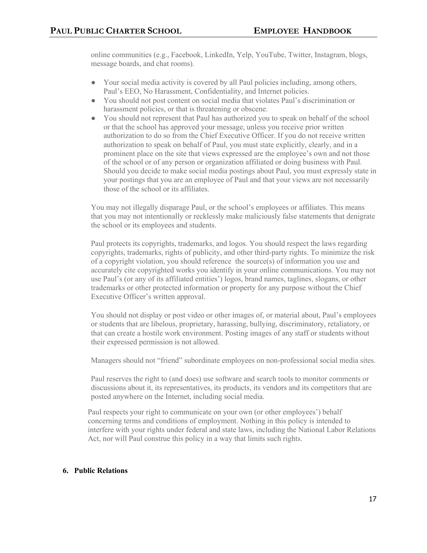online communities (e.g., Facebook, LinkedIn, Yelp, YouTube, Twitter, Instagram, blogs, message boards, and chat rooms).

- Your social media activity is covered by all Paul policies including, among others, Paul's EEO, No Harassment, Confidentiality, and Internet policies.
- You should not post content on social media that violates Paul's discrimination or harassment policies, or that is threatening or obscene.
- You should not represent that Paul has authorized you to speak on behalf of the school or that the school has approved your message, unless you receive prior written authorization to do so from the Chief Executive Officer. If you do not receive written authorization to speak on behalf of Paul, you must state explicitly, clearly, and in a prominent place on the site that views expressed are the employee's own and not those of the school or of any person or organization affiliated or doing business with Paul. Should you decide to make social media postings about Paul, you must expressly state in your postings that you are an employee of Paul and that your views are not necessarily those of the school or its affiliates.

You may not illegally disparage Paul, or the school's employees or affiliates. This means that you may not intentionally or recklessly make maliciously false statements that denigrate the school or its employees and students.

Paul protects its copyrights, trademarks, and logos. You should respect the laws regarding copyrights, trademarks, rights of publicity, and other third-party rights. To minimize the risk of a copyright violation, you should reference the source(s) of information you use and accurately cite copyrighted works you identify in your online communications. You may not use Paul's (or any of its affiliated entities') logos, brand names, taglines, slogans, or other trademarks or other protected information or property for any purpose without the Chief Executive Officer's written approval.

You should not display or post video or other images of, or material about, Paul's employees or students that are libelous, proprietary, harassing, bullying, discriminatory, retaliatory, or that can create a hostile work environment. Posting images of any staff or students without their expressed permission is not allowed.

Managers should not "friend" subordinate employees on non-professional social media sites.

Paul reserves the right to (and does) use software and search tools to monitor comments or discussions about it, its representatives, its products, its vendors and its competitors that are posted anywhere on the Internet, including social media.

Paul respects your right to communicate on your own (or other employees') behalf concerning terms and conditions of employment. Nothing in this policy is intended to interfere with your rights under federal and state laws, including the National Labor Relations Act, nor will Paul construe this policy in a way that limits such rights.

# **6. Public Relations**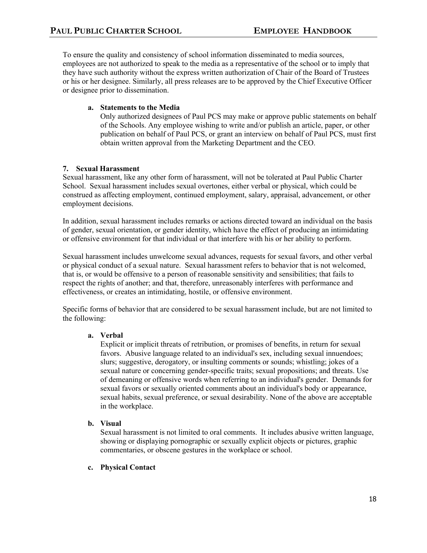To ensure the quality and consistency of school information disseminated to media sources, employees are not authorized to speak to the media as a representative of the school or to imply that they have such authority without the express written authorization of Chair of the Board of Trustees or his or her designee. Similarly, all press releases are to be approved by the Chief Executive Officer or designee prior to dissemination.

# **a. Statements to the Media**

Only authorized designees of Paul PCS may make or approve public statements on behalf of the Schools. Any employee wishing to write and/or publish an article, paper, or other publication on behalf of Paul PCS, or grant an interview on behalf of Paul PCS, must first obtain written approval from the Marketing Department and the CEO.

# **7. Sexual Harassment**

Sexual harassment, like any other form of harassment, will not be tolerated at Paul Public Charter School. Sexual harassment includes sexual overtones, either verbal or physical, which could be construed as affecting employment, continued employment, salary, appraisal, advancement, or other employment decisions.

In addition, sexual harassment includes remarks or actions directed toward an individual on the basis of gender, sexual orientation, or gender identity, which have the effect of producing an intimidating or offensive environment for that individual or that interfere with his or her ability to perform.

Sexual harassment includes unwelcome sexual advances, requests for sexual favors, and other verbal or physical conduct of a sexual nature. Sexual harassment refers to behavior that is not welcomed, that is, or would be offensive to a person of reasonable sensitivity and sensibilities; that fails to respect the rights of another; and that, therefore, unreasonably interferes with performance and effectiveness, or creates an intimidating, hostile, or offensive environment.

Specific forms of behavior that are considered to be sexual harassment include, but are not limited to the following:

# **a. Verbal**

Explicit or implicit threats of retribution, or promises of benefits, in return for sexual favors. Abusive language related to an individual's sex, including sexual innuendoes; slurs; suggestive, derogatory, or insulting comments or sounds; whistling; jokes of a sexual nature or concerning gender-specific traits; sexual propositions; and threats. Use of demeaning or offensive words when referring to an individual's gender. Demands for sexual favors or sexually oriented comments about an individual's body or appearance, sexual habits, sexual preference, or sexual desirability. None of the above are acceptable in the workplace.

# **b. Visual**

Sexual harassment is not limited to oral comments. It includes abusive written language, showing or displaying pornographic or sexually explicit objects or pictures, graphic commentaries, or obscene gestures in the workplace or school.

# **c. Physical Contact**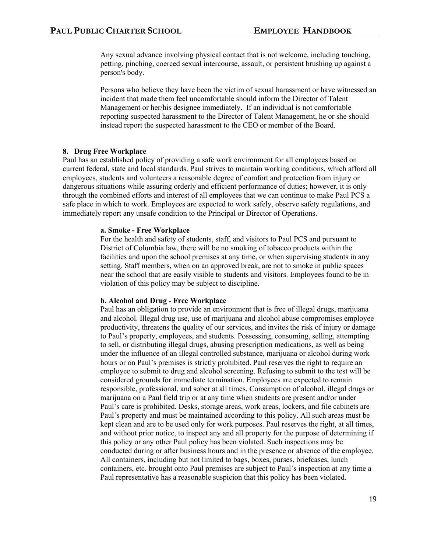Any sexual advance involving physical contact that is not welcome, including touching, petting, pinching, coerced sexual intercourse, assault, or persistent brushing up against a person's body.

Persons who believe they have been the victim of sexual harassment or have witnessed an incident that made them feel uncomfortable should inform the Director of Talent Management or her/his designee immediately. If an individual is not comfortable reporting suspected harassment to the Director of Talent Management, he or she should instead report the suspected harassment to the CEO or member of the Board.

#### **8. Drug Free Workplace**

Paul has an established policy of providing a safe work environment for all employees based on current federal, state and local standards. Paul strives to maintain working conditions, which afford all employees, students and volunteers a reasonable degree of comfort and protection from injury or dangerous situations while assuring orderly and efficient performance of duties; however, it is only through the combined efforts and interest of all employees that we can continue to make Paul PCS a safe place in which to work. Employees are expected to work safely, observe safety regulations, and immediately report any unsafe condition to the Principal or Director of Operations.

#### **a. Smoke - Free Workplace**

For the health and safety of students, staff, and visitors to Paul PCS and pursuant to District of Columbia law, there will be no smoking of tobacco products within the facilities and upon the school premises at any time, or when supervising students in any setting. Staff members, when on an approved break, are not to smoke in public spaces near the school that are easily visible to students and visitors. Employees found to be in violation of this policy may be subject to discipline.

#### **b. Alcohol and Drug - Free Workplace**

Paul has an obligation to provide an environment that is free of illegal drugs, marijuana and alcohol. Illegal drug use, use of marijuana and alcohol abuse compromises employee productivity, threatens the quality of our services, and invites the risk of injury or damage to Paul's property, employees, and students. Possessing, consuming, selling, attempting to sell, or distributing illegal drugs, abusing prescription medications, as well as being under the influence of an illegal controlled substance, marijuana or alcohol during work hours or on Paul's premises is strictly prohibited. Paul reserves the right to require an employee to submit to drug and alcohol screening. Refusing to submit to the test will be considered grounds for immediate termination. Employees are expected to remain responsible, professional, and sober at all times. Consumption of alcohol, illegal drugs or marijuana on a Paul field trip or at any time when students are present and/or under Paul's care is prohibited. Desks, storage areas, work areas, lockers, and file cabinets are Paul's property and must be maintained according to this policy. All such areas must be kept clean and are to be used only for work purposes. Paul reserves the right, at all times, and without prior notice, to inspect any and all property for the purpose of determining if this policy or any other Paul policy has been violated. Such inspections may be conducted during or after business hours and in the presence or absence of the employee. All containers, including but not limited to bags, boxes, purses, briefcases, lunch containers, etc. brought onto Paul premises are subject to Paul's inspection at any time a Paul representative has a reasonable suspicion that this policy has been violated.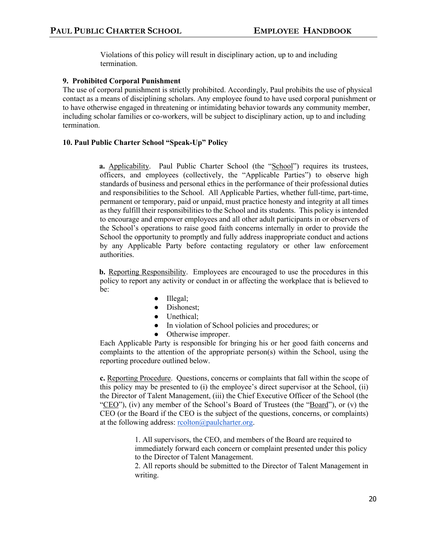Violations of this policy will result in disciplinary action, up to and including termination.

# **9. Prohibited Corporal Punishment**

The use of corporal punishment is strictly prohibited. Accordingly, Paul prohibits the use of physical contact as a means of disciplining scholars. Any employee found to have used corporal punishment or to have otherwise engaged in threatening or intimidating behavior towards any community member, including scholar families or co-workers, will be subject to disciplinary action, up to and including termination.

# **10. Paul Public Charter School "Speak-Up" Policy**

**a.** Applicability. Paul Public Charter School (the "School") requires its trustees, officers, and employees (collectively, the "Applicable Parties") to observe high standards of business and personal ethics in the performance of their professional duties and responsibilities to the School. All Applicable Parties, whether full-time, part-time, permanent or temporary, paid or unpaid, must practice honesty and integrity at all times as they fulfill their responsibilities to the School and its students. This policy is intended to encourage and empower employees and all other adult participants in or observers of the School's operations to raise good faith concerns internally in order to provide the School the opportunity to promptly and fully address inappropriate conduct and actions by any Applicable Party before contacting regulatory or other law enforcement authorities.

**b.** Reporting Responsibility. Employees are encouraged to use the procedures in this policy to report any activity or conduct in or affecting the workplace that is believed to be:

- Illegal;
- Dishonest;
- Unethical:
- In violation of School policies and procedures; or
- Otherwise improper.

Each Applicable Party is responsible for bringing his or her good faith concerns and complaints to the attention of the appropriate person(s) within the School, using the reporting procedure outlined below.

**c.** Reporting Procedure. Questions, concerns or complaints that fall within the scope of this policy may be presented to (i) the employee's direct supervisor at the School, (ii) the Director of Talent Management, (iii) the Chief Executive Officer of the School (the "CEO"), (iv) any member of the School's Board of Trustees (the "Board"), or (v) the CEO (or the Board if the CEO is the subject of the questions, concerns, or complaints) at the following address:  $\text{reolton}(a)$  paulcharter.org.

> 1. All supervisors, the CEO, and members of the Board are required to immediately forward each concern or complaint presented under this policy to the Director of Talent Management.

> 2. All reports should be submitted to the Director of Talent Management in writing.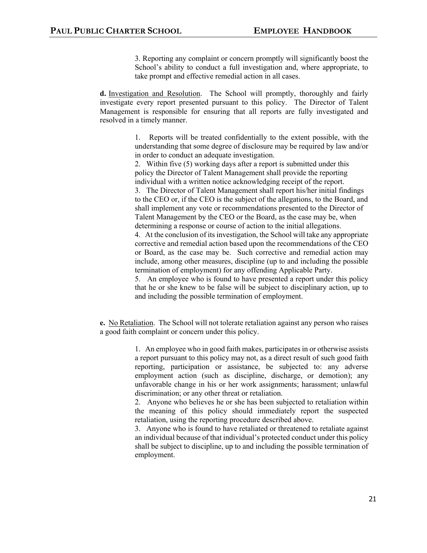3. Reporting any complaint or concern promptly will significantly boost the School's ability to conduct a full investigation and, where appropriate, to take prompt and effective remedial action in all cases.

**d.** Investigation and Resolution. The School will promptly, thoroughly and fairly investigate every report presented pursuant to this policy. The Director of Talent Management is responsible for ensuring that all reports are fully investigated and resolved in a timely manner.

> 1. Reports will be treated confidentially to the extent possible, with the understanding that some degree of disclosure may be required by law and/or in order to conduct an adequate investigation.

2. Within five (5) working days after a report is submitted under this policy the Director of Talent Management shall provide the reporting individual with a written notice acknowledging receipt of the report.

3. The Director of Talent Management shall report his/her initial findings to the CEO or, if the CEO is the subject of the allegations, to the Board, and shall implement any vote or recommendations presented to the Director of Talent Management by the CEO or the Board, as the case may be, when determining a response or course of action to the initial allegations.

4. At the conclusion of its investigation, the School will take any appropriate corrective and remedial action based upon the recommendations of the CEO or Board, as the case may be. Such corrective and remedial action may include, among other measures, discipline (up to and including the possible termination of employment) for any offending Applicable Party.

5. An employee who is found to have presented a report under this policy that he or she knew to be false will be subject to disciplinary action, up to and including the possible termination of employment.

**e.** No Retaliation. The School will not tolerate retaliation against any person who raises a good faith complaint or concern under this policy.

> 1. An employee who in good faith makes, participates in or otherwise assists a report pursuant to this policy may not, as a direct result of such good faith reporting, participation or assistance, be subjected to: any adverse employment action (such as discipline, discharge, or demotion); any unfavorable change in his or her work assignments; harassment; unlawful discrimination; or any other threat or retaliation.

> 2. Anyone who believes he or she has been subjected to retaliation within the meaning of this policy should immediately report the suspected retaliation, using the reporting procedure described above.

> 3. Anyone who is found to have retaliated or threatened to retaliate against an individual because of that individual's protected conduct under this policy shall be subject to discipline, up to and including the possible termination of employment.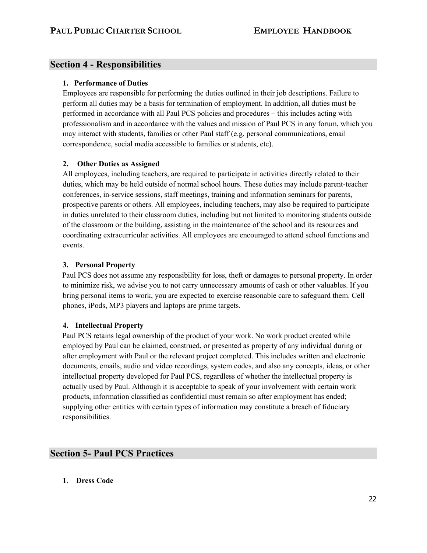# **Section 4 - Responsibilities**

# **1. Performance of Duties**

Employees are responsible for performing the duties outlined in their job descriptions. Failure to perform all duties may be a basis for termination of employment. In addition, all duties must be performed in accordance with all Paul PCS policies and procedures – this includes acting with professionalism and in accordance with the values and mission of Paul PCS in any forum, which you may interact with students, families or other Paul staff (e.g. personal communications, email correspondence, social media accessible to families or students, etc).

# **2. Other Duties as Assigned**

All employees, including teachers, are required to participate in activities directly related to their duties, which may be held outside of normal school hours. These duties may include parent-teacher conferences, in-service sessions, staff meetings, training and information seminars for parents, prospective parents or others. All employees, including teachers, may also be required to participate in duties unrelated to their classroom duties, including but not limited to monitoring students outside of the classroom or the building, assisting in the maintenance of the school and its resources and coordinating extracurricular activities. All employees are encouraged to attend school functions and events.

# **3. Personal Property**

Paul PCS does not assume any responsibility for loss, theft or damages to personal property. In order to minimize risk, we advise you to not carry unnecessary amounts of cash or other valuables. If you bring personal items to work, you are expected to exercise reasonable care to safeguard them. Cell phones, iPods, MP3 players and laptops are prime targets.

# **4. Intellectual Property**

Paul PCS retains legal ownership of the product of your work. No work product created while employed by Paul can be claimed, construed, or presented as property of any individual during or after employment with Paul or the relevant project completed. This includes written and electronic documents, emails, audio and video recordings, system codes, and also any concepts, ideas, or other intellectual property developed for Paul PCS, regardless of whether the intellectual property is actually used by Paul. Although it is acceptable to speak of your involvement with certain work products, information classified as confidential must remain so after employment has ended; supplying other entities with certain types of information may constitute a breach of fiduciary responsibilities.

# **Section 5- Paul PCS Practices**

**1**. **Dress Code**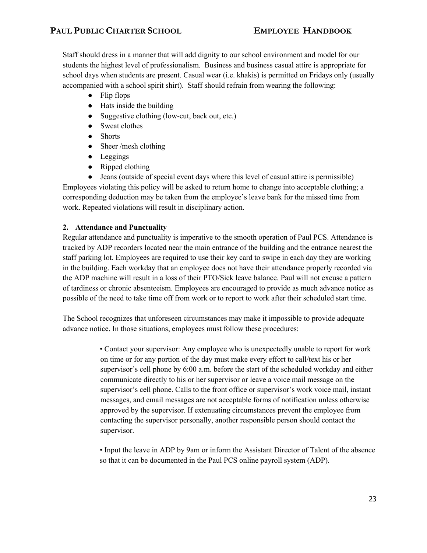Staff should dress in a manner that will add dignity to our school environment and model for our students the highest level of professionalism. Business and business casual attire is appropriate for school days when students are present. Casual wear (i.e. khakis) is permitted on Fridays only (usually accompanied with a school spirit shirt). Staff should refrain from wearing the following:

- Flip flops
- Hats inside the building
- Suggestive clothing (low-cut, back out, etc.)
- Sweat clothes
- Shorts
- Sheer /mesh clothing
- Leggings
- Ripped clothing

● Jeans (outside of special event days where this level of casual attire is permissible) Employees violating this policy will be asked to return home to change into acceptable clothing; a corresponding deduction may be taken from the employee's leave bank for the missed time from work. Repeated violations will result in disciplinary action.

# **2. Attendance and Punctuality**

Regular attendance and punctuality is imperative to the smooth operation of Paul PCS. Attendance is tracked by ADP recorders located near the main entrance of the building and the entrance nearest the staff parking lot. Employees are required to use their key card to swipe in each day they are working in the building. Each workday that an employee does not have their attendance properly recorded via the ADP machine will result in a loss of their PTO/Sick leave balance. Paul will not excuse a pattern of tardiness or chronic absenteeism. Employees are encouraged to provide as much advance notice as possible of the need to take time off from work or to report to work after their scheduled start time.

The School recognizes that unforeseen circumstances may make it impossible to provide adequate advance notice. In those situations, employees must follow these procedures:

> • Contact your supervisor: Any employee who is unexpectedly unable to report for work on time or for any portion of the day must make every effort to call/text his or her supervisor's cell phone by 6:00 a.m. before the start of the scheduled workday and either communicate directly to his or her supervisor or leave a voice mail message on the supervisor's cell phone. Calls to the front office or supervisor's work voice mail, instant messages, and email messages are not acceptable forms of notification unless otherwise approved by the supervisor. If extenuating circumstances prevent the employee from contacting the supervisor personally, another responsible person should contact the supervisor.

> • Input the leave in ADP by 9am or inform the Assistant Director of Talent of the absence so that it can be documented in the Paul PCS online payroll system (ADP).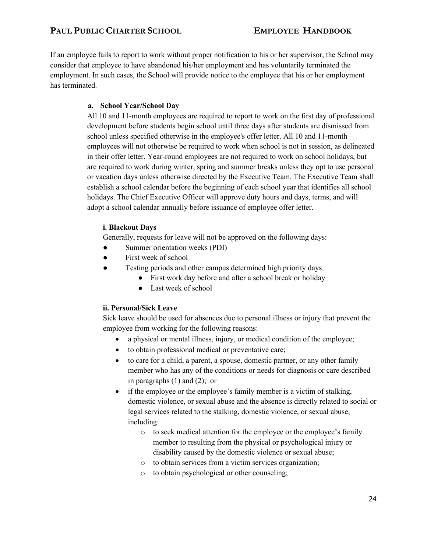If an employee fails to report to work without proper notification to his or her supervisor, the School may consider that employee to have abandoned his/her employment and has voluntarily terminated the employment. In such cases, the School will provide notice to the employee that his or her employment has terminated.

# **a. School Year/School Day**

All 10 and 11-month employees are required to report to work on the first day of professional development before students begin school until three days after students are dismissed from school unless specified otherwise in the employee's offer letter. All 10 and 11-month employees will not otherwise be required to work when school is not in session, as delineated in their offer letter. Year-round employees are not required to work on school holidays, but are required to work during winter, spring and summer breaks unless they opt to use personal or vacation days unless otherwise directed by the Executive Team. The Executive Team shall establish a school calendar before the beginning of each school year that identifies all school holidays. The Chief Executive Officer will approve duty hours and days, terms, and will adopt a school calendar annually before issuance of employee offer letter.

# **i. Blackout Days**

Generally, requests for leave will not be approved on the following days:

- Summer orientation weeks (PDI)
- First week of school
- Testing periods and other campus determined high priority days
	- First work day before and after a school break or holiday
	- Last week of school

# **ii. Personal/Sick Leave**

Sick leave should be used for absences due to personal illness or injury that prevent the employee from working for the following reasons:

- a physical or mental illness, injury, or medical condition of the employee;
- to obtain professional medical or preventative care;
- to care for a child, a parent, a spouse, domestic partner, or any other family member who has any of the conditions or needs for diagnosis or care described in paragraphs (1) and (2); or
- if the employee or the employee's family member is a victim of stalking, domestic violence, or sexual abuse and the absence is directly related to social or legal services related to the stalking, domestic violence, or sexual abuse, including:
	- o to seek medical attention for the employee or the employee's family member to resulting from the physical or psychological injury or disability caused by the domestic violence or sexual abuse;
	- o to obtain services from a victim services organization;
	- o to obtain psychological or other counseling;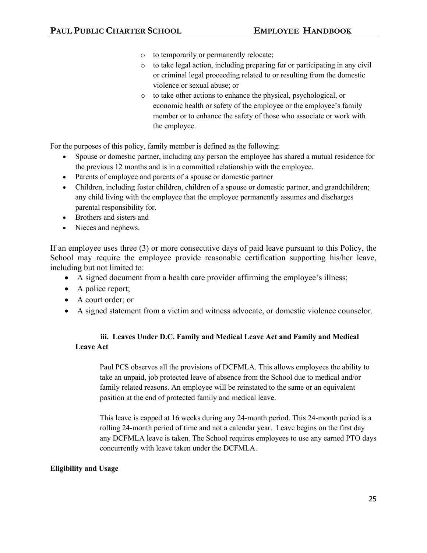- o to temporarily or permanently relocate;
- o to take legal action, including preparing for or participating in any civil or criminal legal proceeding related to or resulting from the domestic violence or sexual abuse; or
- o to take other actions to enhance the physical, psychological, or economic health or safety of the employee or the employee's family member or to enhance the safety of those who associate or work with the employee.

For the purposes of this policy, family member is defined as the following:

- Spouse or domestic partner, including any person the employee has shared a mutual residence for the previous 12 months and is in a committed relationship with the employee.
- Parents of employee and parents of a spouse or domestic partner
- Children, including foster children, children of a spouse or domestic partner, and grandchildren; any child living with the employee that the employee permanently assumes and discharges parental responsibility for.
- Brothers and sisters and
- Nieces and nephews.

If an employee uses three (3) or more consecutive days of paid leave pursuant to this Policy, the School may require the employee provide reasonable certification supporting his/her leave, including but not limited to:

- A signed document from a health care provider affirming the employee's illness;
- A police report;
- A court order; or
- A signed statement from a victim and witness advocate, or domestic violence counselor.

# **iii. Leaves Under D.C. Family and Medical Leave Act and Family and Medical Leave Act**

Paul PCS observes all the provisions of DCFMLA. This allows employees the ability to take an unpaid, job protected leave of absence from the School due to medical and/or family related reasons. An employee will be reinstated to the same or an equivalent position at the end of protected family and medical leave.

This leave is capped at 16 weeks during any 24-month period. This 24-month period is a rolling 24-month period of time and not a calendar year. Leave begins on the first day any DCFMLA leave is taken. The School requires employees to use any earned PTO days concurrently with leave taken under the DCFMLA.

# **Eligibility and Usage**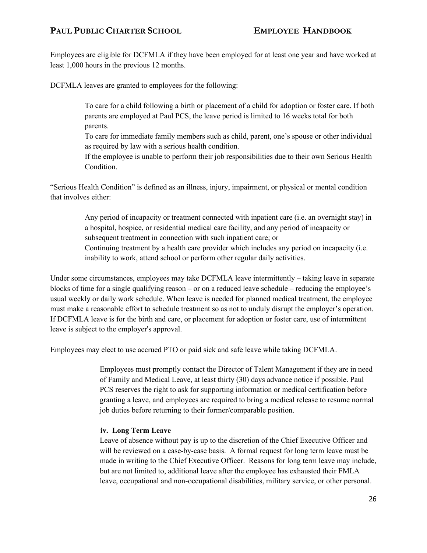Employees are eligible for DCFMLA if they have been employed for at least one year and have worked at least 1,000 hours in the previous 12 months.

DCFMLA leaves are granted to employees for the following:

 To care for a child following a birth or placement of a child for adoption or foster care. If both parents are employed at Paul PCS, the leave period is limited to 16 weeks total for both parents.

 To care for immediate family members such as child, parent, one's spouse or other individual as required by law with a serious health condition.

 If the employee is unable to perform their job responsibilities due to their own Serious Health Condition.

"Serious Health Condition" is defined as an illness, injury, impairment, or physical or mental condition that involves either:

> Any period of incapacity or treatment connected with inpatient care (i.e. an overnight stay) in a hospital, hospice, or residential medical care facility, and any period of incapacity or subsequent treatment in connection with such inpatient care; or Continuing treatment by a health care provider which includes any period on incapacity (i.e. inability to work, attend school or perform other regular daily activities.

Under some circumstances, employees may take DCFMLA leave intermittently – taking leave in separate blocks of time for a single qualifying reason – or on a reduced leave schedule – reducing the employee's usual weekly or daily work schedule. When leave is needed for planned medical treatment, the employee must make a reasonable effort to schedule treatment so as not to unduly disrupt the employer's operation. If DCFMLA leave is for the birth and care, or placement for adoption or foster care, use of intermittent leave is subject to the employer's approval.

Employees may elect to use accrued PTO or paid sick and safe leave while taking DCFMLA.

Employees must promptly contact the Director of Talent Management if they are in need of Family and Medical Leave, at least thirty (30) days advance notice if possible. Paul PCS reserves the right to ask for supporting information or medical certification before granting a leave, and employees are required to bring a medical release to resume normal job duties before returning to their former/comparable position.

# **iv. Long Term Leave**

Leave of absence without pay is up to the discretion of the Chief Executive Officer and will be reviewed on a case-by-case basis. A formal request for long term leave must be made in writing to the Chief Executive Officer. Reasons for long term leave may include, but are not limited to, additional leave after the employee has exhausted their FMLA leave, occupational and non-occupational disabilities, military service, or other personal.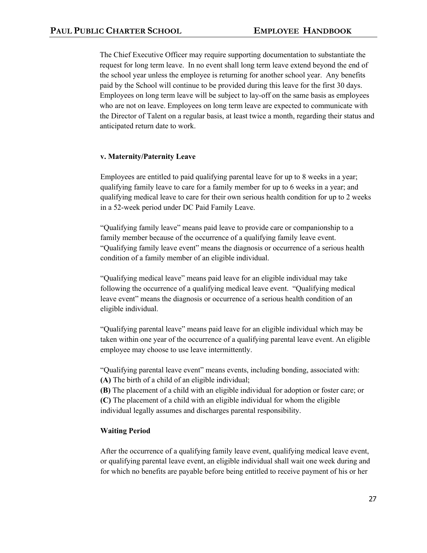The Chief Executive Officer may require supporting documentation to substantiate the request for long term leave. In no event shall long term leave extend beyond the end of the school year unless the employee is returning for another school year. Any benefits paid by the School will continue to be provided during this leave for the first 30 days. Employees on long term leave will be subject to lay-off on the same basis as employees who are not on leave. Employees on long term leave are expected to communicate with the Director of Talent on a regular basis, at least twice a month, regarding their status and anticipated return date to work.

#### **v. Maternity/Paternity Leave**

Employees are entitled to paid qualifying parental leave for up to 8 weeks in a year; qualifying family leave to care for a family member for up to 6 weeks in a year; and qualifying medical leave to care for their own serious health condition for up to 2 weeks in a 52-week period under DC Paid Family Leave.

"Qualifying family leave" means paid leave to provide care or companionship to a family member because of the occurrence of a qualifying family leave event. "Qualifying family leave event" means the diagnosis or occurrence of a serious health condition of a family member of an eligible individual.

"Qualifying medical leave" means paid leave for an eligible individual may take following the occurrence of a qualifying medical leave event. "Qualifying medical leave event" means the diagnosis or occurrence of a serious health condition of an eligible individual.

"Qualifying parental leave" means paid leave for an eligible individual which may be taken within one year of the occurrence of a qualifying parental leave event. An eligible employee may choose to use leave intermittently.

"Qualifying parental leave event" means events, including bonding, associated with: **(A)** The birth of a child of an eligible individual;

**(B)** The placement of a child with an eligible individual for adoption or foster care; or **(C)** The placement of a child with an eligible individual for whom the eligible individual legally assumes and discharges parental responsibility.

#### **Waiting Period**

After the occurrence of a qualifying family leave event, qualifying medical leave event, or qualifying parental leave event, an eligible individual shall wait one week during and for which no benefits are payable before being entitled to receive payment of his or her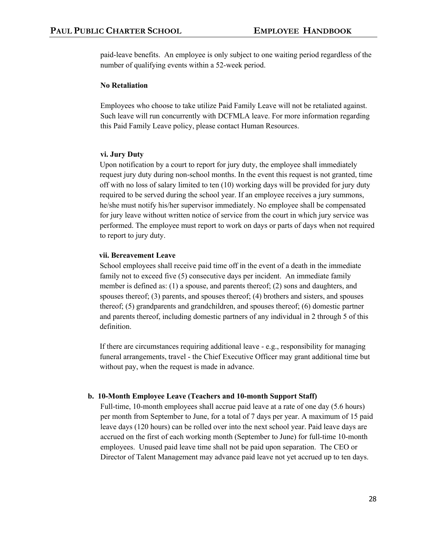paid-leave benefits. An employee is only subject to one waiting period regardless of the number of qualifying events within a 52-week period.

## **No Retaliation**

Employees who choose to take utilize Paid Family Leave will not be retaliated against. Such leave will run concurrently with DCFMLA leave. For more information regarding this Paid Family Leave policy, please contact Human Resources.

#### **vi. Jury Duty**

Upon notification by a court to report for jury duty, the employee shall immediately request jury duty during non-school months. In the event this request is not granted, time off with no loss of salary limited to ten (10) working days will be provided for jury duty required to be served during the school year. If an employee receives a jury summons, he/she must notify his/her supervisor immediately. No employee shall be compensated for jury leave without written notice of service from the court in which jury service was performed. The employee must report to work on days or parts of days when not required to report to jury duty.

#### **vii. Bereavement Leave**

School employees shall receive paid time off in the event of a death in the immediate family not to exceed five (5) consecutive days per incident. An immediate family member is defined as: (1) a spouse, and parents thereof; (2) sons and daughters, and spouses thereof; (3) parents, and spouses thereof; (4) brothers and sisters, and spouses thereof; (5) grandparents and grandchildren, and spouses thereof; (6) domestic partner and parents thereof, including domestic partners of any individual in 2 through 5 of this definition.

If there are circumstances requiring additional leave - e.g., responsibility for managing funeral arrangements, travel - the Chief Executive Officer may grant additional time but without pay, when the request is made in advance.

#### **b. 10-Month Employee Leave (Teachers and 10-month Support Staff)**

Full-time, 10-month employees shall accrue paid leave at a rate of one day (5.6 hours) per month from September to June, for a total of 7 days per year. A maximum of 15 paid leave days (120 hours) can be rolled over into the next school year. Paid leave days are accrued on the first of each working month (September to June) for full-time 10-month employees. Unused paid leave time shall not be paid upon separation. The CEO or Director of Talent Management may advance paid leave not yet accrued up to ten days.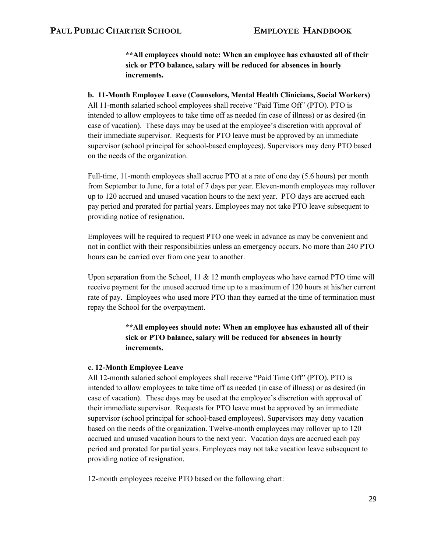**\*\*All employees should note: When an employee has exhausted all of their sick or PTO balance, salary will be reduced for absences in hourly increments.** 

# **b. 11-Month Employee Leave (Counselors, Mental Health Clinicians, Social Workers)**

All 11-month salaried school employees shall receive "Paid Time Off" (PTO). PTO is intended to allow employees to take time off as needed (in case of illness) or as desired (in case of vacation). These days may be used at the employee's discretion with approval of their immediate supervisor. Requests for PTO leave must be approved by an immediate supervisor (school principal for school-based employees). Supervisors may deny PTO based on the needs of the organization.

Full-time, 11-month employees shall accrue PTO at a rate of one day (5.6 hours) per month from September to June, for a total of 7 days per year. Eleven-month employees may rollover up to 120 accrued and unused vacation hours to the next year. PTO days are accrued each pay period and prorated for partial years. Employees may not take PTO leave subsequent to providing notice of resignation.

Employees will be required to request PTO one week in advance as may be convenient and not in conflict with their responsibilities unless an emergency occurs. No more than 240 PTO hours can be carried over from one year to another.

Upon separation from the School,  $11 \& 12$  month employees who have earned PTO time will receive payment for the unused accrued time up to a maximum of 120 hours at his/her current rate of pay. Employees who used more PTO than they earned at the time of termination must repay the School for the overpayment.

> **\*\*All employees should note: When an employee has exhausted all of their sick or PTO balance, salary will be reduced for absences in hourly increments.**

#### **c. 12-Month Employee Leave**

All 12-month salaried school employees shall receive "Paid Time Off" (PTO). PTO is intended to allow employees to take time off as needed (in case of illness) or as desired (in case of vacation). These days may be used at the employee's discretion with approval of their immediate supervisor. Requests for PTO leave must be approved by an immediate supervisor (school principal for school-based employees). Supervisors may deny vacation based on the needs of the organization. Twelve-month employees may rollover up to 120 accrued and unused vacation hours to the next year. Vacation days are accrued each pay period and prorated for partial years. Employees may not take vacation leave subsequent to providing notice of resignation.

12-month employees receive PTO based on the following chart: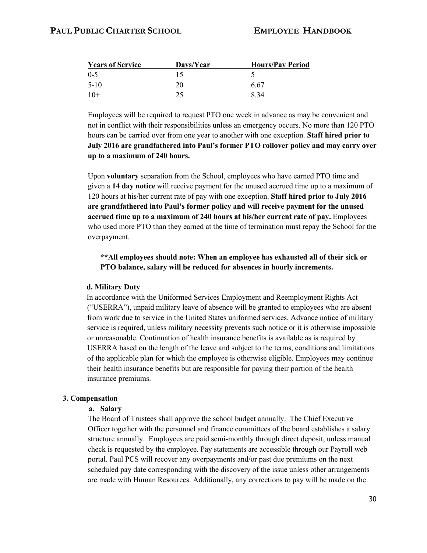| <b>Years of Service</b> | Days/Year | <b>Hours/Pay Period</b> |  |  |  |  |
|-------------------------|-----------|-------------------------|--|--|--|--|
| $0 - 5$                 |           |                         |  |  |  |  |
| $5-10$                  | 20        | 6.67                    |  |  |  |  |
| $10+$                   | 25        | 8.34                    |  |  |  |  |

Employees will be required to request PTO one week in advance as may be convenient and not in conflict with their responsibilities unless an emergency occurs. No more than 120 PTO hours can be carried over from one year to another with one exception. **Staff hired prior to July 2016 are grandfathered into Paul's former PTO rollover policy and may carry over up to a maximum of 240 hours.**

Upon **voluntary** separation from the School, employees who have earned PTO time and given a **14 day notice** will receive payment for the unused accrued time up to a maximum of 120 hours at his/her current rate of pay with one exception. **Staff hired prior to July 2016 are grandfathered into Paul's former policy and will receive payment for the unused accrued time up to a maximum of 240 hours at his/her current rate of pay.** Employees who used more PTO than they earned at the time of termination must repay the School for the overpayment.

**\*\*All employees should note: When an employee has exhausted all of their sick or PTO balance, salary will be reduced for absences in hourly increments.** 

#### **d. Military Duty**

In accordance with the Uniformed Services Employment and Reemployment Rights Act ("USERRA"), unpaid military leave of absence will be granted to employees who are absent from work due to service in the United States uniformed services. Advance notice of military service is required, unless military necessity prevents such notice or it is otherwise impossible or unreasonable. Continuation of health insurance benefits is available as is required by USERRA based on the length of the leave and subject to the terms, conditions and limitations of the applicable plan for which the employee is otherwise eligible. Employees may continue their health insurance benefits but are responsible for paying their portion of the health insurance premiums.

### **3. Compensation**

#### **a. Salary**

The Board of Trustees shall approve the school budget annually. The Chief Executive Officer together with the personnel and finance committees of the board establishes a salary structure annually. Employees are paid semi-monthly through direct deposit, unless manual check is requested by the employee. Pay statements are accessible through our Payroll web portal. Paul PCS will recover any overpayments and/or past due premiums on the next scheduled pay date corresponding with the discovery of the issue unless other arrangements are made with Human Resources. Additionally, any corrections to pay will be made on the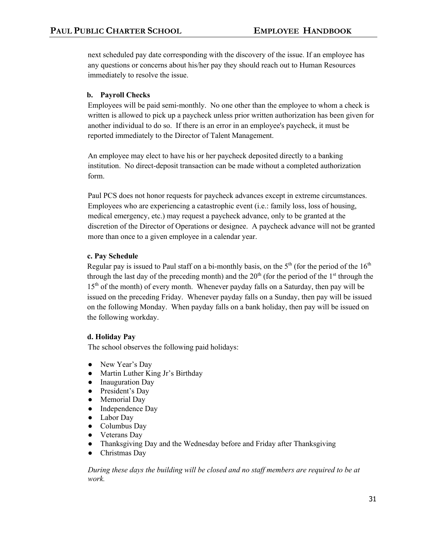next scheduled pay date corresponding with the discovery of the issue. If an employee has any questions or concerns about his/her pay they should reach out to Human Resources immediately to resolve the issue.

# **b. Payroll Checks**

Employees will be paid semi-monthly. No one other than the employee to whom a check is written is allowed to pick up a paycheck unless prior written authorization has been given for another individual to do so. If there is an error in an employee's paycheck, it must be reported immediately to the Director of Talent Management.

An employee may elect to have his or her paycheck deposited directly to a banking institution. No direct-deposit transaction can be made without a completed authorization form.

Paul PCS does not honor requests for paycheck advances except in extreme circumstances. Employees who are experiencing a catastrophic event (i.e.: family loss, loss of housing, medical emergency, etc.) may request a paycheck advance, only to be granted at the discretion of the Director of Operations or designee. A paycheck advance will not be granted more than once to a given employee in a calendar year.

# **c. Pay Schedule**

Regular pay is issued to Paul staff on a bi-monthly basis, on the  $5<sup>th</sup>$  (for the period of the  $16<sup>th</sup>$ through the last day of the preceding month) and the  $20<sup>th</sup>$  (for the period of the 1<sup>st</sup> through the  $15<sup>th</sup>$  of the month) of every month. Whenever payday falls on a Saturday, then pay will be issued on the preceding Friday. Whenever payday falls on a Sunday, then pay will be issued on the following Monday. When payday falls on a bank holiday, then pay will be issued on the following workday.

# **d. Holiday Pay**

The school observes the following paid holidays:

- New Year's Day
- Martin Luther King Jr's Birthday
- Inauguration Day
- President's Day
- Memorial Day
- Independence Day
- Labor Day
- Columbus Day
- Veterans Day
- Thanksgiving Day and the Wednesday before and Friday after Thanksgiving
- Christmas Day

*During these days the building will be closed and no staff members are required to be at work.*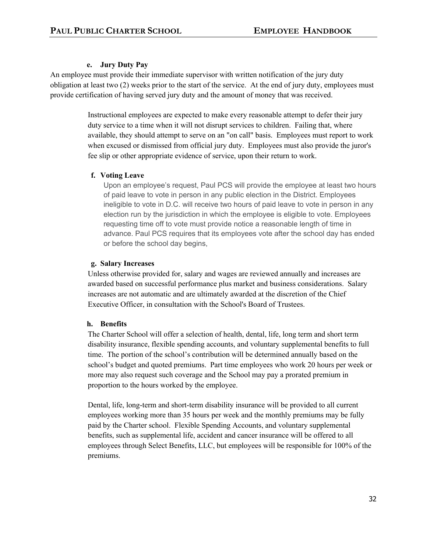# **e. Jury Duty Pay**

An employee must provide their immediate supervisor with written notification of the jury duty obligation at least two (2) weeks prior to the start of the service. At the end of jury duty, employees must provide certification of having served jury duty and the amount of money that was received.

> Instructional employees are expected to make every reasonable attempt to defer their jury duty service to a time when it will not disrupt services to children. Failing that, where available, they should attempt to serve on an "on call" basis. Employees must report to work when excused or dismissed from official jury duty. Employees must also provide the juror's fee slip or other appropriate evidence of service, upon their return to work.

# **f. Voting Leave**

Upon an employee's request, Paul PCS will provide the employee at least two hours of paid leave to vote in person in any public election in the District. Employees ineligible to vote in D.C. will receive two hours of paid leave to vote in person in any election run by the jurisdiction in which the employee is eligible to vote. Employees requesting time off to vote must provide notice a reasonable length of time in advance. Paul PCS requires that its employees vote after the school day has ended or before the school day begins,

# **g. Salary Increases**

Unless otherwise provided for, salary and wages are reviewed annually and increases are awarded based on successful performance plus market and business considerations. Salary increases are not automatic and are ultimately awarded at the discretion of the Chief Executive Officer, in consultation with the School's Board of Trustees.

# **h. Benefits**

The Charter School will offer a selection of health, dental, life, long term and short term disability insurance, flexible spending accounts, and voluntary supplemental benefits to full time. The portion of the school's contribution will be determined annually based on the school's budget and quoted premiums. Part time employees who work 20 hours per week or more may also request such coverage and the School may pay a prorated premium in proportion to the hours worked by the employee.

Dental, life, long-term and short-term disability insurance will be provided to all current employees working more than 35 hours per week and the monthly premiums may be fully paid by the Charter school. Flexible Spending Accounts, and voluntary supplemental benefits, such as supplemental life, accident and cancer insurance will be offered to all employees through Select Benefits, LLC, but employees will be responsible for 100% of the premiums.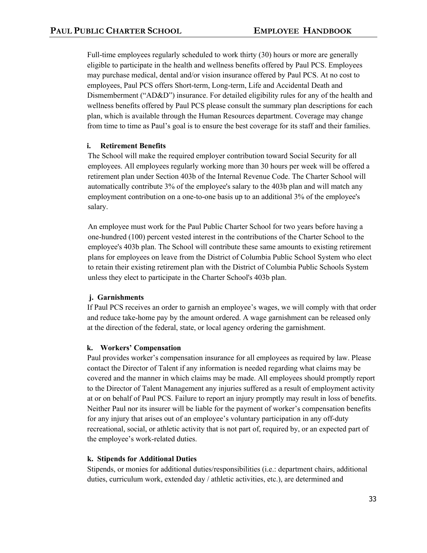Full-time employees regularly scheduled to work thirty (30) hours or more are generally eligible to participate in the health and wellness benefits offered by Paul PCS. Employees may purchase medical, dental and/or vision insurance offered by Paul PCS. At no cost to employees, Paul PCS offers Short-term, Long-term, Life and Accidental Death and Dismemberment ("AD&D") insurance. For detailed eligibility rules for any of the health and wellness benefits offered by Paul PCS please consult the summary plan descriptions for each plan, which is available through the Human Resources department. Coverage may change from time to time as Paul's goal is to ensure the best coverage for its staff and their families.

# **i. Retirement Benefits**

The School will make the required employer contribution toward Social Security for all employees. All employees regularly working more than 30 hours per week will be offered a retirement plan under Section 403b of the Internal Revenue Code. The Charter School will automatically contribute 3% of the employee's salary to the 403b plan and will match any employment contribution on a one-to-one basis up to an additional 3% of the employee's salary.

An employee must work for the Paul Public Charter School for two years before having a one-hundred (100) percent vested interest in the contributions of the Charter School to the employee's 403b plan. The School will contribute these same amounts to existing retirement plans for employees on leave from the District of Columbia Public School System who elect to retain their existing retirement plan with the District of Columbia Public Schools System unless they elect to participate in the Charter School's 403b plan.

# **j. Garnishments**

If Paul PCS receives an order to garnish an employee's wages, we will comply with that order and reduce take-home pay by the amount ordered. A wage garnishment can be released only at the direction of the federal, state, or local agency ordering the garnishment.

# **k. Workers' Compensation**

Paul provides worker's compensation insurance for all employees as required by law. Please contact the Director of Talent if any information is needed regarding what claims may be covered and the manner in which claims may be made. All employees should promptly report to the Director of Talent Management any injuries suffered as a result of employment activity at or on behalf of Paul PCS. Failure to report an injury promptly may result in loss of benefits. Neither Paul nor its insurer will be liable for the payment of worker's compensation benefits for any injury that arises out of an employee's voluntary participation in any off-duty recreational, social, or athletic activity that is not part of, required by, or an expected part of the employee's work-related duties.

# **k. Stipends for Additional Duties**

Stipends, or monies for additional duties/responsibilities (i.e.: department chairs, additional duties, curriculum work, extended day / athletic activities, etc.), are determined and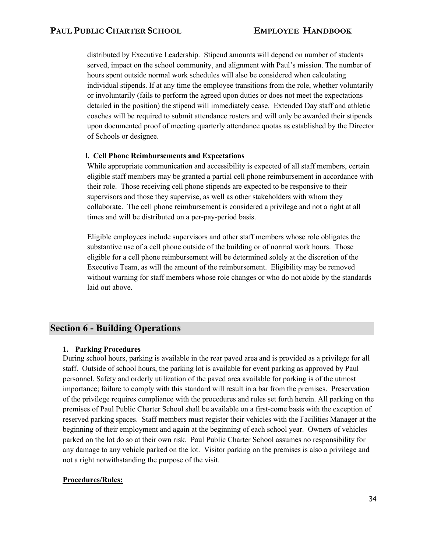distributed by Executive Leadership. Stipend amounts will depend on number of students served, impact on the school community, and alignment with Paul's mission. The number of hours spent outside normal work schedules will also be considered when calculating individual stipends. If at any time the employee transitions from the role, whether voluntarily or involuntarily (fails to perform the agreed upon duties or does not meet the expectations detailed in the position) the stipend will immediately cease. Extended Day staff and athletic coaches will be required to submit attendance rosters and will only be awarded their stipends upon documented proof of meeting quarterly attendance quotas as established by the Director of Schools or designee.

### **l. Cell Phone Reimbursements and Expectations**

While appropriate communication and accessibility is expected of all staff members, certain eligible staff members may be granted a partial cell phone reimbursement in accordance with their role. Those receiving cell phone stipends are expected to be responsive to their supervisors and those they supervise, as well as other stakeholders with whom they collaborate. The cell phone reimbursement is considered a privilege and not a right at all times and will be distributed on a per-pay-period basis.

Eligible employees include supervisors and other staff members whose role obligates the substantive use of a cell phone outside of the building or of normal work hours. Those eligible for a cell phone reimbursement will be determined solely at the discretion of the Executive Team, as will the amount of the reimbursement. Eligibility may be removed without warning for staff members whose role changes or who do not abide by the standards laid out above.

# **Section 6 - Building Operations**

# **1. Parking Procedures**

During school hours, parking is available in the rear paved area and is provided as a privilege for all staff. Outside of school hours, the parking lot is available for event parking as approved by Paul personnel. Safety and orderly utilization of the paved area available for parking is of the utmost importance; failure to comply with this standard will result in a bar from the premises. Preservation of the privilege requires compliance with the procedures and rules set forth herein. All parking on the premises of Paul Public Charter School shall be available on a first-come basis with the exception of reserved parking spaces. Staff members must register their vehicles with the Facilities Manager at the beginning of their employment and again at the beginning of each school year. Owners of vehicles parked on the lot do so at their own risk. Paul Public Charter School assumes no responsibility for any damage to any vehicle parked on the lot. Visitor parking on the premises is also a privilege and not a right notwithstanding the purpose of the visit.

# **Procedures/Rules:**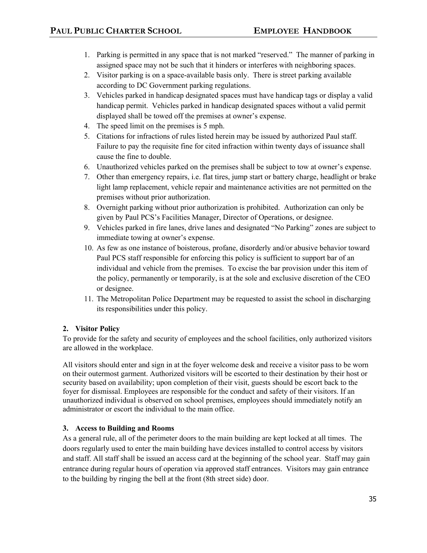- 1. Parking is permitted in any space that is not marked "reserved." The manner of parking in assigned space may not be such that it hinders or interferes with neighboring spaces.
- 2. Visitor parking is on a space-available basis only. There is street parking available according to DC Government parking regulations.
- 3. Vehicles parked in handicap designated spaces must have handicap tags or display a valid handicap permit. Vehicles parked in handicap designated spaces without a valid permit displayed shall be towed off the premises at owner's expense.
- 4. The speed limit on the premises is 5 mph.
- 5. Citations for infractions of rules listed herein may be issued by authorized Paul staff. Failure to pay the requisite fine for cited infraction within twenty days of issuance shall cause the fine to double.
- 6. Unauthorized vehicles parked on the premises shall be subject to tow at owner's expense.
- 7. Other than emergency repairs, i.e. flat tires, jump start or battery charge, headlight or brake light lamp replacement, vehicle repair and maintenance activities are not permitted on the premises without prior authorization.
- 8. Overnight parking without prior authorization is prohibited. Authorization can only be given by Paul PCS's Facilities Manager, Director of Operations, or designee.
- 9. Vehicles parked in fire lanes, drive lanes and designated "No Parking" zones are subject to immediate towing at owner's expense.
- 10. As few as one instance of boisterous, profane, disorderly and/or abusive behavior toward Paul PCS staff responsible for enforcing this policy is sufficient to support bar of an individual and vehicle from the premises. To excise the bar provision under this item of the policy, permanently or temporarily, is at the sole and exclusive discretion of the CEO or designee.
- 11. The Metropolitan Police Department may be requested to assist the school in discharging its responsibilities under this policy.

# **2. Visitor Policy**

To provide for the safety and security of employees and the school facilities, only authorized visitors are allowed in the workplace.

All visitors should enter and sign in at the foyer welcome desk and receive a visitor pass to be worn on their outermost garment. Authorized visitors will be escorted to their destination by their host or security based on availability; upon completion of their visit, guests should be escort back to the foyer for dismissal. Employees are responsible for the conduct and safety of their visitors. If an unauthorized individual is observed on school premises, employees should immediately notify an administrator or escort the individual to the main office.

# **3. Access to Building and Rooms**

As a general rule, all of the perimeter doors to the main building are kept locked at all times. The doors regularly used to enter the main building have devices installed to control access by visitors and staff. All staff shall be issued an access card at the beginning of the school year. Staff may gain entrance during regular hours of operation via approved staff entrances. Visitors may gain entrance to the building by ringing the bell at the front (8th street side) door.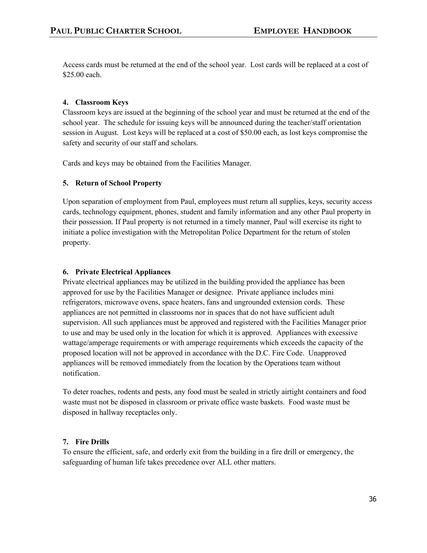Access cards must be returned at the end of the school year. Lost cards will be replaced at a cost of \$25.00 each.

# **4. Classroom Keys**

Classroom keys are issued at the beginning of the school year and must be returned at the end of the school year. The schedule for issuing keys will be announced during the teacher/staff orientation session in August. Lost keys will be replaced at a cost of \$50.00 each, as lost keys compromise the safety and security of our staff and scholars.

Cards and keys may be obtained from the Facilities Manager.

# **5. Return of School Property**

Upon separation of employment from Paul, employees must return all supplies, keys, security access cards, technology equipment, phones, student and family information and any other Paul property in their possession. If Paul property is not returned in a timely manner, Paul will exercise its right to initiate a police investigation with the Metropolitan Police Department for the return of stolen property.

# **6. Private Electrical Appliances**

Private electrical appliances may be utilized in the building provided the appliance has been approved for use by the Facilities Manager or designee. Private appliance includes mini refrigerators, microwave ovens, space heaters, fans and ungrounded extension cords. These appliances are not permitted in classrooms nor in spaces that do not have sufficient adult supervision. All such appliances must be approved and registered with the Facilities Manager prior to use and may be used only in the location for which it is approved. Appliances with excessive wattage/amperage requirements or with amperage requirements which exceeds the capacity of the proposed location will not be approved in accordance with the D.C. Fire Code. Unapproved appliances will be removed immediately from the location by the Operations team without notification.

To deter roaches, rodents and pests, any food must be sealed in strictly airtight containers and food waste must not be disposed in classroom or private office waste baskets. Food waste must be disposed in hallway receptacles only.

# **7. Fire Drills**

To ensure the efficient, safe, and orderly exit from the building in a fire drill or emergency, the safeguarding of human life takes precedence over ALL other matters.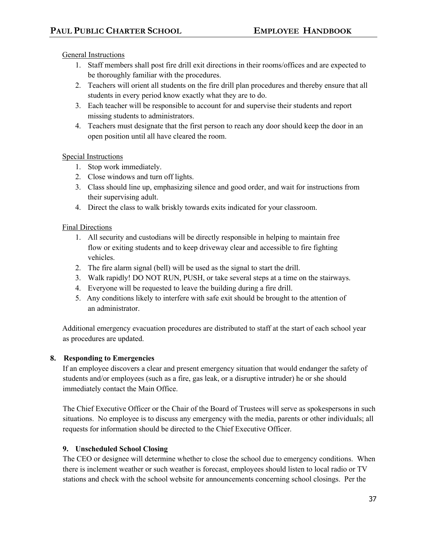General Instructions

- 1. Staff members shall post fire drill exit directions in their rooms/offices and are expected to be thoroughly familiar with the procedures.
- 2. Teachers will orient all students on the fire drill plan procedures and thereby ensure that all students in every period know exactly what they are to do.
- 3. Each teacher will be responsible to account for and supervise their students and report missing students to administrators.
- 4. Teachers must designate that the first person to reach any door should keep the door in an open position until all have cleared the room.

# Special Instructions

- 1. Stop work immediately.
- 2. Close windows and turn off lights.
- 3. Class should line up, emphasizing silence and good order, and wait for instructions from their supervising adult.
- 4. Direct the class to walk briskly towards exits indicated for your classroom.

# Final Directions

- 1. All security and custodians will be directly responsible in helping to maintain free flow or exiting students and to keep driveway clear and accessible to fire fighting vehicles.
- 2. The fire alarm signal (bell) will be used as the signal to start the drill.
- 3. Walk rapidly! DO NOT RUN, PUSH, or take several steps at a time on the stairways.
- 4. Everyone will be requested to leave the building during a fire drill.
- 5. Any conditions likely to interfere with safe exit should be brought to the attention of an administrator.

Additional emergency evacuation procedures are distributed to staff at the start of each school year as procedures are updated.

# **8. Responding to Emergencies**

If an employee discovers a clear and present emergency situation that would endanger the safety of students and/or employees (such as a fire, gas leak, or a disruptive intruder) he or she should immediately contact the Main Office.

The Chief Executive Officer or the Chair of the Board of Trustees will serve as spokespersons in such situations. No employee is to discuss any emergency with the media, parents or other individuals; all requests for information should be directed to the Chief Executive Officer.

# **9. Unscheduled School Closing**

The CEO or designee will determine whether to close the school due to emergency conditions. When there is inclement weather or such weather is forecast, employees should listen to local radio or TV stations and check with the school website for announcements concerning school closings. Per the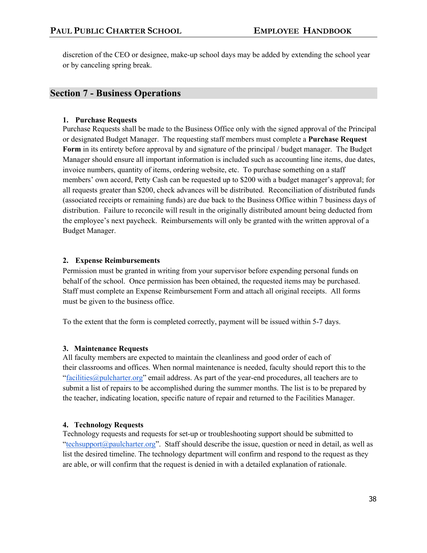discretion of the CEO or designee, make-up school days may be added by extending the school year or by canceling spring break.

# **Section 7 - Business Operations**

# **1. Purchase Requests**

Purchase Requests shall be made to the Business Office only with the signed approval of the Principal or designated Budget Manager. The requesting staff members must complete a **Purchase Request Form** in its entirety before approval by and signature of the principal / budget manager. The Budget Manager should ensure all important information is included such as accounting line items, due dates, invoice numbers, quantity of items, ordering website, etc. To purchase something on a staff members' own accord, Petty Cash can be requested up to \$200 with a budget manager's approval; for all requests greater than \$200, check advances will be distributed. Reconciliation of distributed funds (associated receipts or remaining funds) are due back to the Business Office within 7 business days of distribution. Failure to reconcile will result in the originally distributed amount being deducted from the employee's next paycheck. Reimbursements will only be granted with the written approval of a Budget Manager.

# **2. Expense Reimbursements**

Permission must be granted in writing from your supervisor before expending personal funds on behalf of the school. Once permission has been obtained, the requested items may be purchased. Staff must complete an Expense Reimbursement Form and attach all original receipts. All forms must be given to the business office.

To the extent that the form is completed correctly, payment will be issued within 5-7 days.

# **3. Maintenance Requests**

All faculty members are expected to maintain the cleanliness and good order of each of their classrooms and offices. When normal maintenance is needed, faculty should report this to the "facilities  $@p$ ulcharter.org" email address. As part of the year-end procedures, all teachers are to submit a list of repairs to be accomplished during the summer months. The list is to be prepared by the teacher, indicating location, specific nature of repair and returned to the Facilities Manager.

# **4. Technology Requests**

Technology requests and requests for set-up or troubleshooting support should be submitted to "techsupport@paulcharter.org". Staff should describe the issue, question or need in detail, as well as list the desired timeline. The technology department will confirm and respond to the request as they are able, or will confirm that the request is denied in with a detailed explanation of rationale.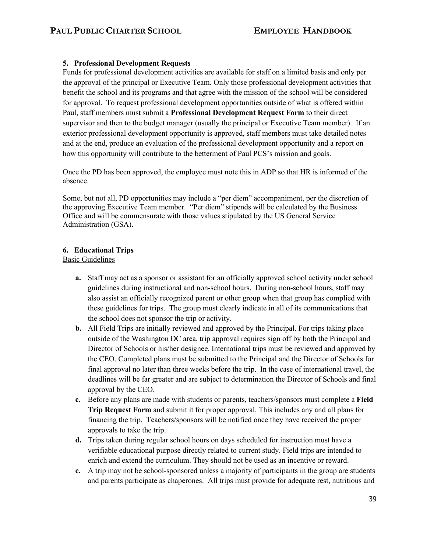# **5. Professional Development Requests**

Funds for professional development activities are available for staff on a limited basis and only per the approval of the principal or Executive Team. Only those professional development activities that benefit the school and its programs and that agree with the mission of the school will be considered for approval. To request professional development opportunities outside of what is offered within Paul, staff members must submit a **Professional Development Request Form** to their direct supervisor and then to the budget manager (usually the principal or Executive Team member). If an exterior professional development opportunity is approved, staff members must take detailed notes and at the end, produce an evaluation of the professional development opportunity and a report on how this opportunity will contribute to the betterment of Paul PCS's mission and goals.

Once the PD has been approved, the employee must note this in ADP so that HR is informed of the absence.

Some, but not all, PD opportunities may include a "per diem" accompaniment, per the discretion of the approving Executive Team member. "Per diem" stipends will be calculated by the Business Office and will be commensurate with those values stipulated by the US General Service Administration (GSA).

# **6. Educational Trips**

Basic Guidelines

- **a.** Staff may act as a sponsor or assistant for an officially approved school activity under school guidelines during instructional and non-school hours. During non-school hours, staff may also assist an officially recognized parent or other group when that group has complied with these guidelines for trips. The group must clearly indicate in all of its communications that the school does not sponsor the trip or activity.
- **b.** All Field Trips are initially reviewed and approved by the Principal. For trips taking place outside of the Washington DC area, trip approval requires sign off by both the Principal and Director of Schools or his/her designee. International trips must be reviewed and approved by the CEO. Completed plans must be submitted to the Principal and the Director of Schools for final approval no later than three weeks before the trip. In the case of international travel, the deadlines will be far greater and are subject to determination the Director of Schools and final approval by the CEO.
- **c.** Before any plans are made with students or parents, teachers/sponsors must complete a **Field Trip Request Form** and submit it for proper approval. This includes any and all plans for financing the trip. Teachers/sponsors will be notified once they have received the proper approvals to take the trip.
- **d.** Trips taken during regular school hours on days scheduled for instruction must have a verifiable educational purpose directly related to current study. Field trips are intended to enrich and extend the curriculum. They should not be used as an incentive or reward.
- **e.** A trip may not be school-sponsored unless a majority of participants in the group are students and parents participate as chaperones. All trips must provide for adequate rest, nutritious and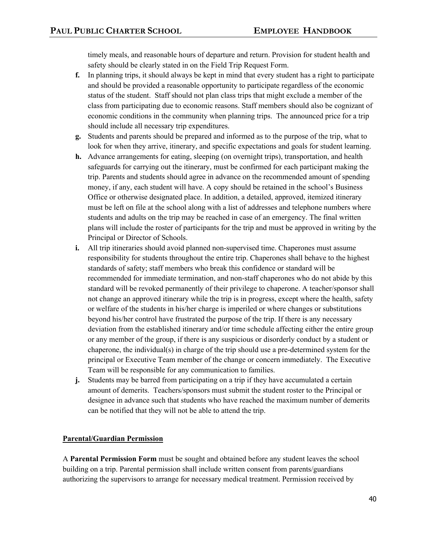timely meals, and reasonable hours of departure and return. Provision for student health and safety should be clearly stated in on the Field Trip Request Form.

- **f.** In planning trips, it should always be kept in mind that every student has a right to participate and should be provided a reasonable opportunity to participate regardless of the economic status of the student. Staff should not plan class trips that might exclude a member of the class from participating due to economic reasons. Staff members should also be cognizant of economic conditions in the community when planning trips. The announced price for a trip should include all necessary trip expenditures.
- **g.** Students and parents should be prepared and informed as to the purpose of the trip, what to look for when they arrive, itinerary, and specific expectations and goals for student learning.
- **h.** Advance arrangements for eating, sleeping (on overnight trips), transportation, and health safeguards for carrying out the itinerary, must be confirmed for each participant making the trip. Parents and students should agree in advance on the recommended amount of spending money, if any, each student will have. A copy should be retained in the school's Business Office or otherwise designated place. In addition, a detailed, approved, itemized itinerary must be left on file at the school along with a list of addresses and telephone numbers where students and adults on the trip may be reached in case of an emergency. The final written plans will include the roster of participants for the trip and must be approved in writing by the Principal or Director of Schools.
- **i.** All trip itineraries should avoid planned non-supervised time. Chaperones must assume responsibility for students throughout the entire trip. Chaperones shall behave to the highest standards of safety; staff members who break this confidence or standard will be recommended for immediate termination, and non-staff chaperones who do not abide by this standard will be revoked permanently of their privilege to chaperone. A teacher/sponsor shall not change an approved itinerary while the trip is in progress, except where the health, safety or welfare of the students in his/her charge is imperiled or where changes or substitutions beyond his/her control have frustrated the purpose of the trip. If there is any necessary deviation from the established itinerary and/or time schedule affecting either the entire group or any member of the group, if there is any suspicious or disorderly conduct by a student or chaperone, the individual(s) in charge of the trip should use a pre-determined system for the principal or Executive Team member of the change or concern immediately. The Executive Team will be responsible for any communication to families.
- **j.** Students may be barred from participating on a trip if they have accumulated a certain amount of demerits. Teachers/sponsors must submit the student roster to the Principal or designee in advance such that students who have reached the maximum number of demerits can be notified that they will not be able to attend the trip.

# **Parental/Guardian Permission**

A **Parental Permission Form** must be sought and obtained before any student leaves the school building on a trip. Parental permission shall include written consent from parents/guardians authorizing the supervisors to arrange for necessary medical treatment. Permission received by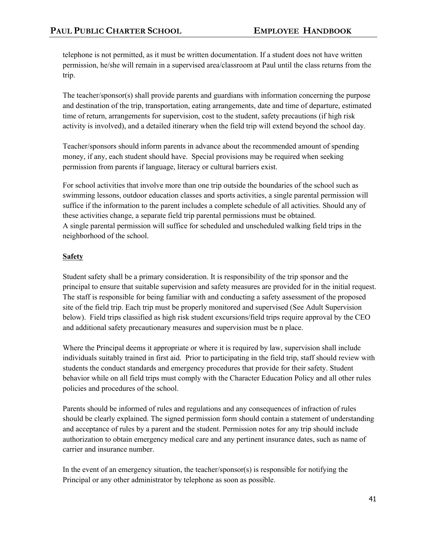telephone is not permitted, as it must be written documentation. If a student does not have written permission, he/she will remain in a supervised area/classroom at Paul until the class returns from the trip.

The teacher/sponsor(s) shall provide parents and guardians with information concerning the purpose and destination of the trip, transportation, eating arrangements, date and time of departure, estimated time of return, arrangements for supervision, cost to the student, safety precautions (if high risk activity is involved), and a detailed itinerary when the field trip will extend beyond the school day.

Teacher/sponsors should inform parents in advance about the recommended amount of spending money, if any, each student should have. Special provisions may be required when seeking permission from parents if language, literacy or cultural barriers exist.

For school activities that involve more than one trip outside the boundaries of the school such as swimming lessons, outdoor education classes and sports activities, a single parental permission will suffice if the information to the parent includes a complete schedule of all activities. Should any of these activities change, a separate field trip parental permissions must be obtained. A single parental permission will suffice for scheduled and unscheduled walking field trips in the neighborhood of the school.

# **Safety**

Student safety shall be a primary consideration. It is responsibility of the trip sponsor and the principal to ensure that suitable supervision and safety measures are provided for in the initial request. The staff is responsible for being familiar with and conducting a safety assessment of the proposed site of the field trip. Each trip must be properly monitored and supervised (See Adult Supervision below). Field trips classified as high risk student excursions/field trips require approval by the CEO and additional safety precautionary measures and supervision must be n place.

Where the Principal deems it appropriate or where it is required by law, supervision shall include individuals suitably trained in first aid. Prior to participating in the field trip, staff should review with students the conduct standards and emergency procedures that provide for their safety. Student behavior while on all field trips must comply with the Character Education Policy and all other rules policies and procedures of the school.

Parents should be informed of rules and regulations and any consequences of infraction of rules should be clearly explained. The signed permission form should contain a statement of understanding and acceptance of rules by a parent and the student. Permission notes for any trip should include authorization to obtain emergency medical care and any pertinent insurance dates, such as name of carrier and insurance number.

In the event of an emergency situation, the teacher/sponsor(s) is responsible for notifying the Principal or any other administrator by telephone as soon as possible.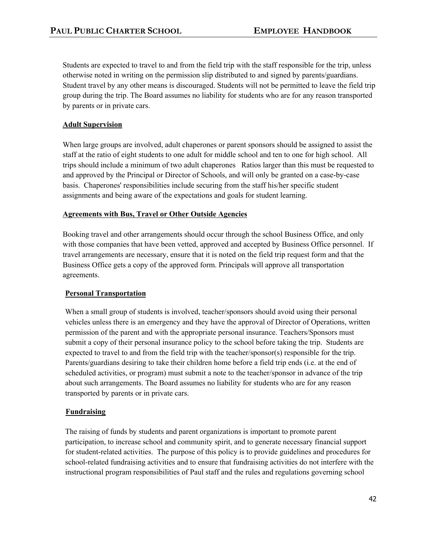Students are expected to travel to and from the field trip with the staff responsible for the trip, unless otherwise noted in writing on the permission slip distributed to and signed by parents/guardians. Student travel by any other means is discouraged. Students will not be permitted to leave the field trip group during the trip. The Board assumes no liability for students who are for any reason transported by parents or in private cars.

# **Adult Supervision**

When large groups are involved, adult chaperones or parent sponsors should be assigned to assist the staff at the ratio of eight students to one adult for middle school and ten to one for high school. All trips should include a minimum of two adult chaperones Ratios larger than this must be requested to and approved by the Principal or Director of Schools, and will only be granted on a case-by-case basis. Chaperones' responsibilities include securing from the staff his/her specific student assignments and being aware of the expectations and goals for student learning.

# **Agreements with Bus, Travel or Other Outside Agencies**

Booking travel and other arrangements should occur through the school Business Office, and only with those companies that have been vetted, approved and accepted by Business Office personnel. If travel arrangements are necessary, ensure that it is noted on the field trip request form and that the Business Office gets a copy of the approved form. Principals will approve all transportation agreements.

# **Personal Transportation**

When a small group of students is involved, teacher/sponsors should avoid using their personal vehicles unless there is an emergency and they have the approval of Director of Operations, written permission of the parent and with the appropriate personal insurance. Teachers/Sponsors must submit a copy of their personal insurance policy to the school before taking the trip. Students are expected to travel to and from the field trip with the teacher/sponsor(s) responsible for the trip. Parents/guardians desiring to take their children home before a field trip ends (i.e. at the end of scheduled activities, or program) must submit a note to the teacher/sponsor in advance of the trip about such arrangements. The Board assumes no liability for students who are for any reason transported by parents or in private cars.

# **Fundraising**

The raising of funds by students and parent organizations is important to promote parent participation, to increase school and community spirit, and to generate necessary financial support for student-related activities. The purpose of this policy is to provide guidelines and procedures for school-related fundraising activities and to ensure that fundraising activities do not interfere with the instructional program responsibilities of Paul staff and the rules and regulations governing school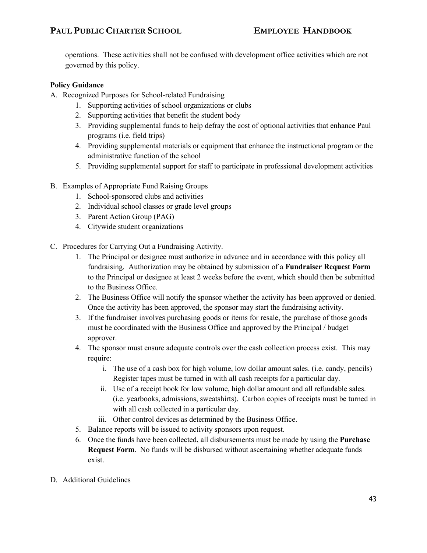operations. These activities shall not be confused with development office activities which are not governed by this policy.

# **Policy Guidance**

- A. Recognized Purposes for School-related Fundraising
	- 1. Supporting activities of school organizations or clubs
	- 2. Supporting activities that benefit the student body
	- 3. Providing supplemental funds to help defray the cost of optional activities that enhance Paul programs (i.e. field trips)
	- 4. Providing supplemental materials or equipment that enhance the instructional program or the administrative function of the school
	- 5. Providing supplemental support for staff to participate in professional development activities
- B. Examples of Appropriate Fund Raising Groups
	- 1. School-sponsored clubs and activities
	- 2. Individual school classes or grade level groups
	- 3. Parent Action Group (PAG)
	- 4. Citywide student organizations
- C. Procedures for Carrying Out a Fundraising Activity.
	- 1. The Principal or designee must authorize in advance and in accordance with this policy all fundraising. Authorization may be obtained by submission of a **Fundraiser Request Form** to the Principal or designee at least 2 weeks before the event, which should then be submitted to the Business Office.
	- 2. The Business Office will notify the sponsor whether the activity has been approved or denied. Once the activity has been approved, the sponsor may start the fundraising activity.
	- 3. If the fundraiser involves purchasing goods or items for resale, the purchase of those goods must be coordinated with the Business Office and approved by the Principal / budget approver.
	- 4. The sponsor must ensure adequate controls over the cash collection process exist. This may require:
		- i. The use of a cash box for high volume, low dollar amount sales. (i.e. candy, pencils) Register tapes must be turned in with all cash receipts for a particular day.
		- ii. Use of a receipt book for low volume, high dollar amount and all refundable sales. (i.e. yearbooks, admissions, sweatshirts). Carbon copies of receipts must be turned in with all cash collected in a particular day.
		- iii. Other control devices as determined by the Business Office.
	- 5. Balance reports will be issued to activity sponsors upon request.
	- 6. Once the funds have been collected, all disbursements must be made by using the **Purchase Request Form**. No funds will be disbursed without ascertaining whether adequate funds exist.
- D. Additional Guidelines